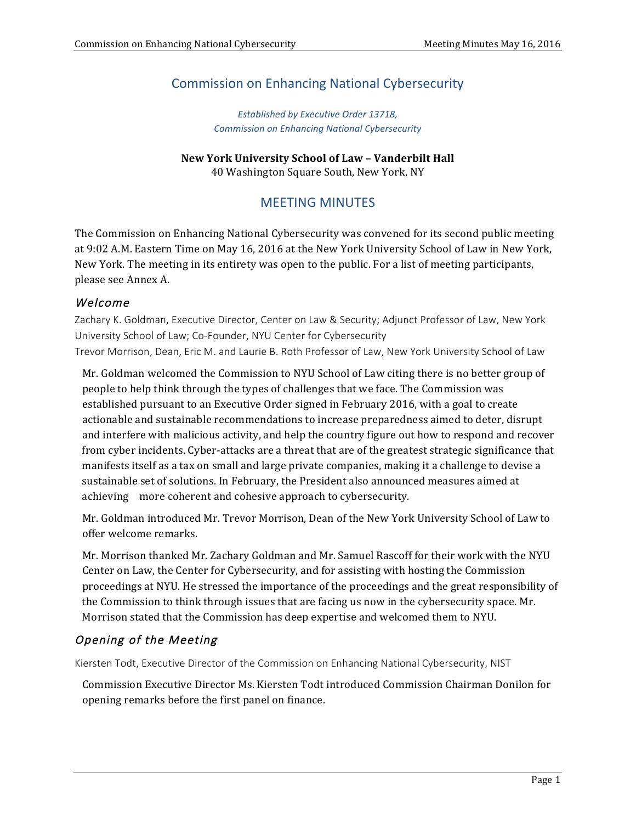# Commission on Enhancing National Cybersecurity

*Established by Executive Order 13718, Commission on Enhancing National Cybersecurity*

#### **New York University School of Law – Vanderbilt Hall** 40 Washington Square South, New York, NY

# MEETING MINUTES

The Commission on Enhancing National Cybersecurity was convened for its second public meeting at 9:02 A.M. Eastern Time on May 16, 2016 at the New York University School of Law in New York, New York. The meeting in its entirety was open to the public. For a list of meeting participants, please see Annex A.

## Welcome

 Zachary K. Goldman, Executive Director, Center on Law & Security; Adjunct Professor of Law, New York University School of Law; Co-Founder, NYU Center for Cybersecurity Trevor Morrison, Dean, Eric M. and Laurie B. Roth Professor of Law, New York University School of Law

Mr. Goldman welcomed the Commission to NYU School of Law citing there is no better group of people to help think through the types of challenges that we face. The Commission was established pursuant to an Executive Order signed in February 2016, with a goal to create actionable and sustainable recommendations to increase preparedness aimed to deter, disrupt and interfere with malicious activity, and help the country figure out how to respond and recover from cyber incidents. Cyber-attacks are a threat that are of the greatest strategic significance that manifests itself as a tax on small and large private companies, making it a challenge to devise a sustainable set of solutions. In February, the President also announced measures aimed at achieving more coherent and cohesive approach to cybersecurity.

Mr. Goldman introduced Mr. Trevor Morrison, Dean of the New York University School of Law to offer welcome remarks.

Mr. Morrison thanked Mr. Zachary Goldman and Mr. Samuel Rascoff for their work with the NYU Center on Law, the Center for Cybersecurity, and for assisting with hosting the Commission proceedings at NYU. He stressed the importance of the proceedings and the great responsibility of the Commission to think through issues that are facing us now in the cybersecurity space. Mr. Morrison stated that the Commission has deep expertise and welcomed them to NYU.

# Opening of the Meeting

Kiersten Todt, Executive Director of the Commission on Enhancing National Cybersecurity, NIST

Commission Executive Director Ms. Kiersten Todt introduced Commission Chairman Donilon for opening remarks before the first panel on finance.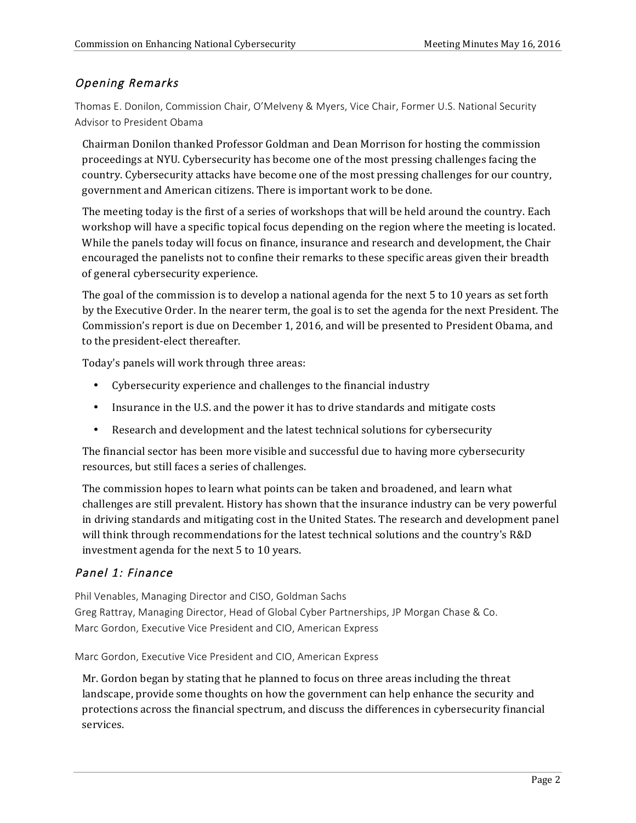# Opening Remarks

 Thomas E. Donilon, Commission Chair, O'Melveny & Myers, Vice Chair, Former U.S. National Security Advisor to President Obama

Chairman Donilon thanked Professor Goldman and Dean Morrison for hosting the commission proceedings at NYU. Cybersecurity has become one of the most pressing challenges facing the country. Cybersecurity attacks have become one of the most pressing challenges for our country, government and American citizens. There is important work to be done.

The meeting today is the first of a series of workshops that will be held around the country. Each workshop will have a specific topical focus depending on the region where the meeting is located. While the panels today will focus on finance, insurance and research and development, the Chair encouraged the panelists not to confine their remarks to these specific areas given their breadth of general cybersecurity experience.

The goal of the commission is to develop a national agenda for the next 5 to 10 years as set forth by the Executive Order. In the nearer term, the goal is to set the agenda for the next President. The Commission's report is due on December 1, 2016, and will be presented to President Obama, and to the president-elect thereafter.

Today's panels will work through three areas:

- Cybersecurity experience and challenges to the financial industry
- Insurance in the U.S. and the power it has to drive standards and mitigate costs
- Research and development and the latest technical solutions for cybersecurity

The financial sector has been more visible and successful due to having more cybersecurity resources, but still faces a series of challenges.

The commission hopes to learn what points can be taken and broadened, and learn what challenges are still prevalent. History has shown that the insurance industry can be very powerful in driving standards and mitigating cost in the United States. The research and development panel will think through recommendations for the latest technical solutions and the country's R&D investment agenda for the next 5 to 10 years.

# Panel 1: Finance

 Phil Venables, Managing Director and CISO, Goldman Sachs Greg Rattray, Managing Director, Head of Global Cyber Partnerships, JP Morgan Chase & Co. Marc Gordon, Executive Vice President and CIO, American Express

Marc Gordon, Executive Vice President and CIO, American Express

Mr. Gordon began by stating that he planned to focus on three areas including the threat landscape, provide some thoughts on how the government can help enhance the security and protections across the financial spectrum, and discuss the differences in cybersecurity financial services.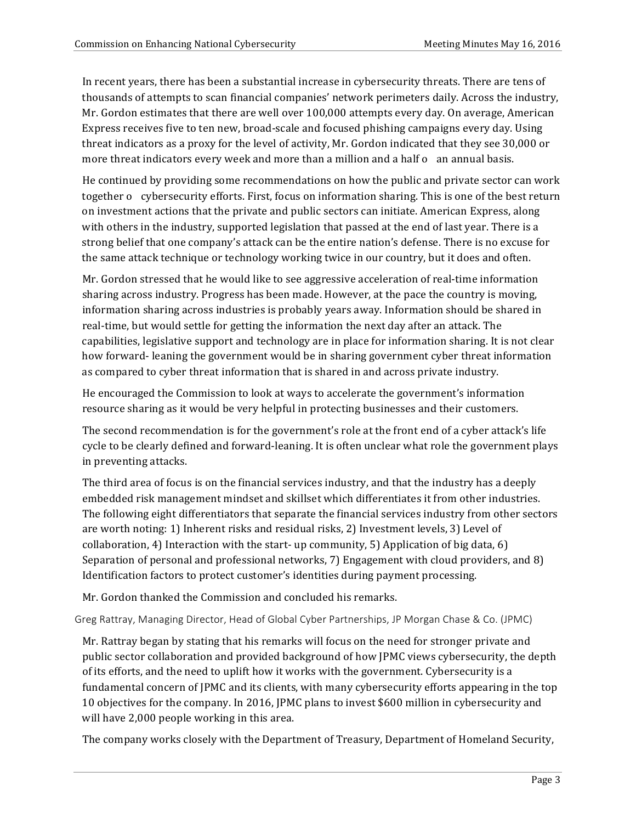In recent years, there has been a substantial increase in cybersecurity threats. There are tens of thousands of attempts to scan financial companies' network perimeters daily. Across the industry, Mr. Gordon estimates that there are well over 100,000 attempts every day. On average, American Express receives five to ten new, broad-scale and focused phishing campaigns every day. Using threat indicators as a proxy for the level of activity, Mr. Gordon indicated that they see 30,000 or more threat indicators every week and more than a million and a half o an annual basis.

He continued by providing some recommendations on how the public and private sector can work together o cybersecurity efforts. First, focus on information sharing. This is one of the best return on investment actions that the private and public sectors can initiate. American Express, along with others in the industry, supported legislation that passed at the end of last year. There is a strong belief that one company's attack can be the entire nation's defense. There is no excuse for the same attack technique or technology working twice in our country, but it does and often.

Mr. Gordon stressed that he would like to see aggressive acceleration of real-time information sharing across industry. Progress has been made. However, at the pace the country is moving, information sharing across industries is probably years away. Information should be shared in real-time, but would settle for getting the information the next day after an attack. The capabilities, legislative support and technology are in place for information sharing. It is not clear how forward- leaning the government would be in sharing government cyber threat information as compared to cyber threat information that is shared in and across private industry.

He encouraged the Commission to look at ways to accelerate the government's information resource sharing as it would be very helpful in protecting businesses and their customers.

The second recommendation is for the government's role at the front end of a cyber attack's life cycle to be clearly defined and forward-leaning. It is often unclear what role the government plays in preventing attacks.

The third area of focus is on the financial services industry, and that the industry has a deeply embedded risk management mindset and skillset which differentiates it from other industries. The following eight differentiators that separate the financial services industry from other sectors are worth noting: 1) Inherent risks and residual risks, 2) Investment levels, 3) Level of collaboration, 4) Interaction with the start- up community, 5) Application of big data, 6) Separation of personal and professional networks, 7) Engagement with cloud providers, and 8) Identification factors to protect customer's identities during payment processing.

Mr. Gordon thanked the Commission and concluded his remarks.

Greg Rattray, Managing Director, Head of Global Cyber Partnerships, JP Morgan Chase & Co. (JPMC)

Mr. Rattray began by stating that his remarks will focus on the need for stronger private and public sector collaboration and provided background of how JPMC views cybersecurity, the depth of its efforts, and the need to uplift how it works with the government. Cybersecurity is a fundamental concern of IPMC and its clients, with many cybersecurity efforts appearing in the top 10 objectives for the company. In 2016, JPMC plans to invest \$600 million in cybersecurity and will have 2,000 people working in this area.

The company works closely with the Department of Treasury, Department of Homeland Security,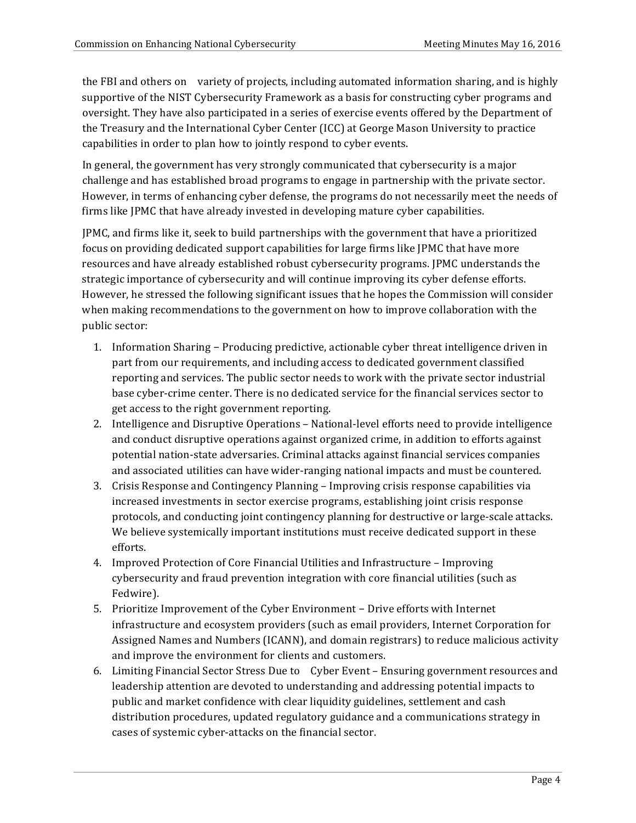the FBI and others on variety of projects, including automated information sharing, and is highly supportive of the NIST Cybersecurity Framework as a basis for constructing cyber programs and oversight. They have also participated in a series of exercise events offered by the Department of the Treasury and the International Cyber Center (ICC) at George Mason University to practice capabilities in order to plan how to jointly respond to cyber events.

In general, the government has very strongly communicated that cybersecurity is a major challenge and has established broad programs to engage in partnership with the private sector. However, in terms of enhancing cyber defense, the programs do not necessarily meet the needs of firms like JPMC that have already invested in developing mature cyber capabilities.

JPMC, and firms like it, seek to build partnerships with the government that have a prioritized focus on providing dedicated support capabilities for large firms like JPMC that have more resources and have already established robust cybersecurity programs. JPMC understands the strategic importance of cybersecurity and will continue improving its cyber defense efforts. However, he stressed the following significant issues that he hopes the Commission will consider when making recommendations to the government on how to improve collaboration with the public sector:

- 1. Information Sharing − Producing predictive, actionable cyber threat intelligence driven in part from our requirements, and including access to dedicated government classified reporting and services. The public sector needs to work with the private sector industrial base cyber-crime center. There is no dedicated service for the financial services sector to get access to the right government reporting.
- 2. Intelligence and Disruptive Operations National-level efforts need to provide intelligence and conduct disruptive operations against organized crime, in addition to efforts against potential nation-state adversaries. Criminal attacks against financial services companies and associated utilities can have wider-ranging national impacts and must be countered.
- 3. Crisis Response and Contingency Planning Improving crisis response capabilities via increased investments in sector exercise programs, establishing joint crisis response protocols, and conducting joint contingency planning for destructive or large-scale attacks. We believe systemically important institutions must receive dedicated support in these efforts.
- 4. Improved Protection of Core Financial Utilities and Infrastructure Improving cybersecurity and fraud prevention integration with core financial utilities (such as Fedwire).
- 5. Prioritize Improvement of the Cyber Environment − Drive efforts with Internet infrastructure and ecosystem providers (such as email providers, Internet Corporation for Assigned Names and Numbers (ICANN), and domain registrars) to reduce malicious activity and improve the environment for clients and customers.
- 6. Limiting Financial Sector Stress Due to Cyber Event Ensuring government resources and leadership attention are devoted to understanding and addressing potential impacts to public and market confidence with clear liquidity guidelines, settlement and cash distribution procedures, updated regulatory guidance and a communications strategy in cases of systemic cyber-attacks on the financial sector.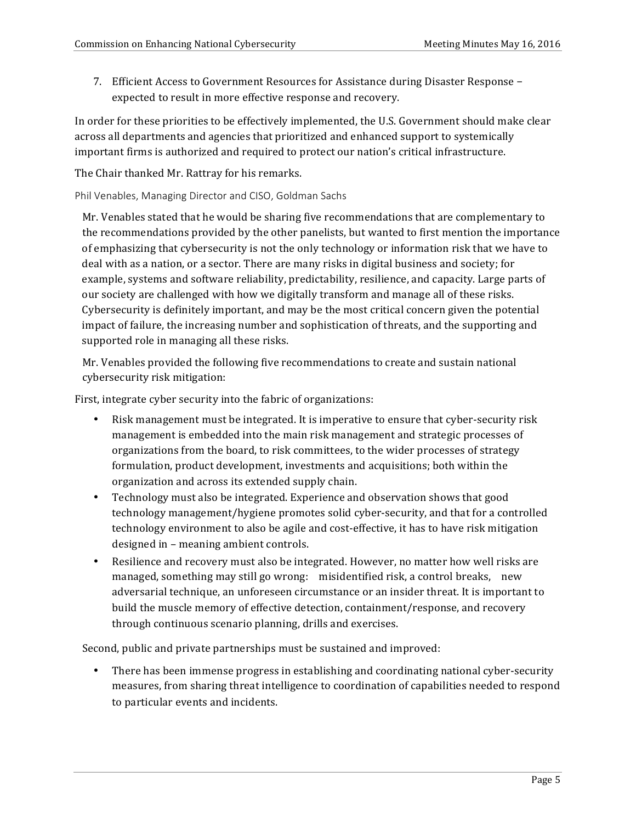7. Efficient Access to Government Resources for Assistance during Disaster Response – expected to result in more effective response and recovery.

In order for these priorities to be effectively implemented, the U.S. Government should make clear across all departments and agencies that prioritized and enhanced support to systemically important firms is authorized and required to protect our nation's critical infrastructure.

The Chair thanked Mr. Rattray for his remarks.

Phil Venables, Managing Director and CISO, Goldman Sachs

Mr. Venables stated that he would be sharing five recommendations that are complementary to the recommendations provided by the other panelists, but wanted to first mention the importance of emphasizing that cybersecurity is not the only technology or information risk that we have to deal with as a nation, or a sector. There are many risks in digital business and society; for example, systems and software reliability, predictability, resilience, and capacity. Large parts of our society are challenged with how we digitally transform and manage all of these risks. Cybersecurity is definitely important, and may be the most critical concern given the potential impact of failure, the increasing number and sophistication of threats, and the supporting and supported role in managing all these risks.

Mr. Venables provided the following five recommendations to create and sustain national cybersecurity risk mitigation:

First, integrate cyber security into the fabric of organizations:

- Risk management must be integrated. It is imperative to ensure that cyber-security risk management is embedded into the main risk management and strategic processes of organizations from the board, to risk committees, to the wider processes of strategy formulation, product development, investments and acquisitions; both within the organization and across its extended supply chain.
- Technology must also be integrated. Experience and observation shows that good technology management/hygiene promotes solid cyber-security, and that for a controlled technology environment to also be agile and cost-effective, it has to have risk mitigation designed in – meaning ambient controls.
- Resilience and recovery must also be integrated. However, no matter how well risks are managed, something may still go wrong: misidentified risk, a control breaks, new adversarial technique, an unforeseen circumstance or an insider threat. It is important to build the muscle memory of effective detection, containment/response, and recovery through continuous scenario planning, drills and exercises.

Second, public and private partnerships must be sustained and improved:

• There has been immense progress in establishing and coordinating national cyber-security measures, from sharing threat intelligence to coordination of capabilities needed to respond to particular events and incidents.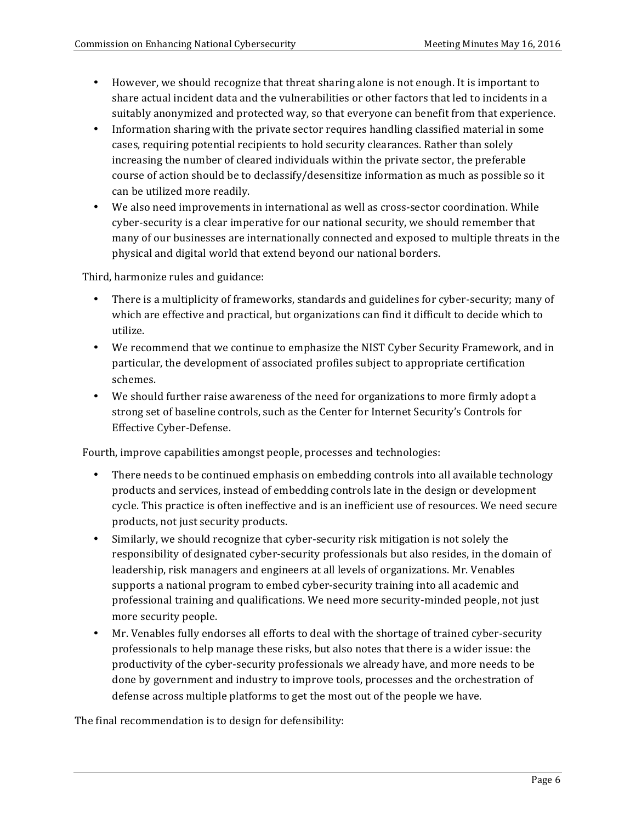- However, we should recognize that threat sharing alone is not enough. It is important to share actual incident data and the vulnerabilities or other factors that led to incidents in a suitably anonymized and protected way, so that everyone can benefit from that experience.
- Information sharing with the private sector requires handling classified material in some cases, requiring potential recipients to hold security clearances. Rather than solely increasing the number of cleared individuals within the private sector, the preferable course of action should be to declassify/desensitize information as much as possible so it can be utilized more readily.
- We also need improvements in international as well as cross-sector coordination. While cyber-security is a clear imperative for our national security, we should remember that many of our businesses are internationally connected and exposed to multiple threats in the physical and digital world that extend beyond our national borders.

Third, harmonize rules and guidance:

- There is a multiplicity of frameworks, standards and guidelines for cyber-security; many of which are effective and practical, but organizations can find it difficult to decide which to utilize.
- We recommend that we continue to emphasize the NIST Cyber Security Framework, and in particular, the development of associated profiles subject to appropriate certification schemes.
- • We should further raise awareness of the need for organizations to more firmly adopt a strong set of baseline controls, such as the Center for Internet Security's Controls for Effective Cyber-Defense.

Fourth, improve capabilities amongst people, processes and technologies:

- There needs to be continued emphasis on embedding controls into all available technology products and services, instead of embedding controls late in the design or development cycle. This practice is often ineffective and is an inefficient use of resources. We need secure products, not just security products.
- Similarly, we should recognize that cyber-security risk mitigation is not solely the responsibility of designated cyber-security professionals but also resides, in the domain of leadership, risk managers and engineers at all levels of organizations. Mr. Venables supports a national program to embed cyber-security training into all academic and professional training and qualifications. We need more security-minded people, not just more security people.
- Mr. Venables fully endorses all efforts to deal with the shortage of trained cyber-security professionals to help manage these risks, but also notes that there is a wider issue: the productivity of the cyber-security professionals we already have, and more needs to be done by government and industry to improve tools, processes and the orchestration of defense across multiple platforms to get the most out of the people we have.

The final recommendation is to design for defensibility: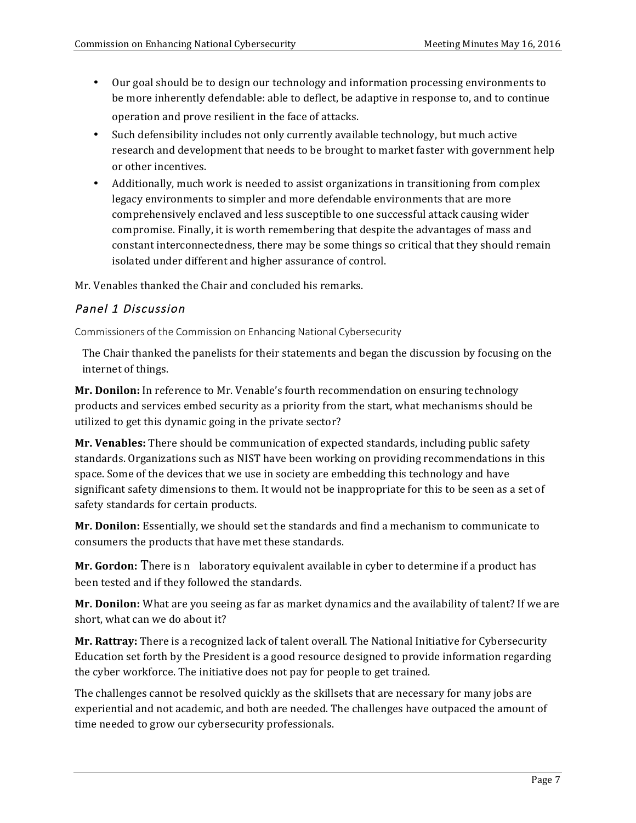- Our goal should be to design our technology and information processing environments to be more inherently defendable: able to deflect, be adaptive in response to, and to continue operation and prove resilient in the face of attacks.
- Such defensibility includes not only currently available technology, but much active research and development that needs to be brought to market faster with government help or other incentives.
- Additionally, much work is needed to assist organizations in transitioning from complex legacy environments to simpler and more defendable environments that are more comprehensively enclaved and less susceptible to one successful attack causing wider compromise. Finally, it is worth remembering that despite the advantages of mass and constant interconnectedness, there may be some things so critical that they should remain isolated under different and higher assurance of control.

Mr. Venables thanked the Chair and concluded his remarks.

## Panel 1 Discussion

Commissioners of the Commission on Enhancing National Cybersecurity

The Chair thanked the panelists for their statements and began the discussion by focusing on the internet of things.

**Mr. Donilon:** In reference to Mr. Venable's fourth recommendation on ensuring technology products and services embed security as a priority from the start, what mechanisms should be utilized to get this dynamic going in the private sector?

**Mr. Venables:** There should be communication of expected standards, including public safety standards. Organizations such as NIST have been working on providing recommendations in this space. Some of the devices that we use in society are embedding this technology and have significant safety dimensions to them. It would not be inappropriate for this to be seen as a set of safety standards for certain products.

**Mr. Donilon:** Essentially, we should set the standards and find a mechanism to communicate to consumers the products that have met these standards.

**Mr. Gordon:** There is n laboratory equivalent available in cyber to determine if a product has been tested and if they followed the standards.

**Mr. Donilon:** What are you seeing as far as market dynamics and the availability of talent? If we are short, what can we do about it?

**Mr. Rattray:** There is a recognized lack of talent overall. The National Initiative for Cybersecurity Education set forth by the President is a good resource designed to provide information regarding the cyber workforce. The initiative does not pay for people to get trained.

The challenges cannot be resolved quickly as the skillsets that are necessary for many jobs are experiential and not academic, and both are needed. The challenges have outpaced the amount of time needed to grow our cybersecurity professionals.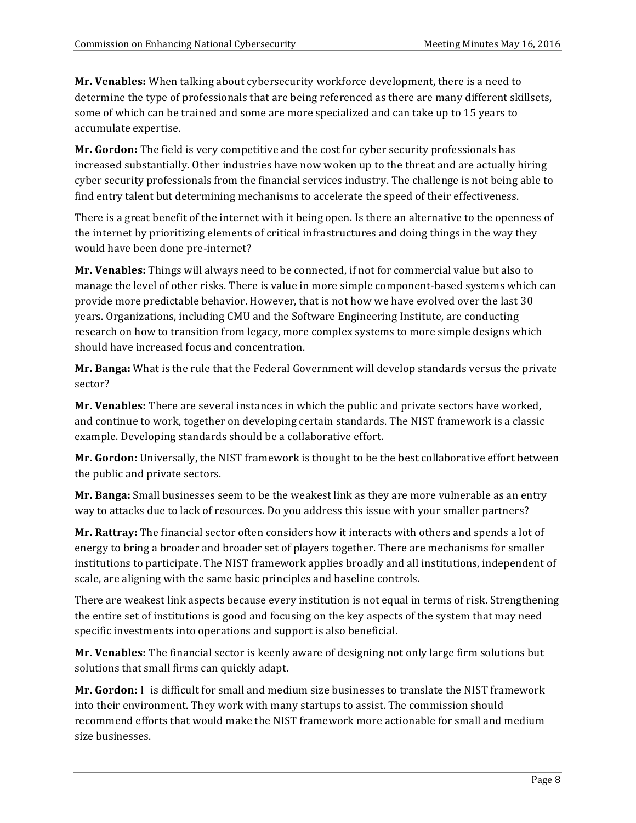**Mr. Venables:** When talking about cybersecurity workforce development, there is a need to determine the type of professionals that are being referenced as there are many different skillsets, some of which can be trained and some are more specialized and can take up to 15 years to accumulate expertise.

**Mr. Gordon:** The field is very competitive and the cost for cyber security professionals has increased substantially. Other industries have now woken up to the threat and are actually hiring cyber security professionals from the financial services industry. The challenge is not being able to find entry talent but determining mechanisms to accelerate the speed of their effectiveness.

There is a great benefit of the internet with it being open. Is there an alternative to the openness of the internet by prioritizing elements of critical infrastructures and doing things in the way they would have been done pre-internet?

**Mr. Venables:** Things will always need to be connected, if not for commercial value but also to manage the level of other risks. There is value in more simple component-based systems which can provide more predictable behavior. However, that is not how we have evolved over the last 30 years. Organizations, including CMU and the Software Engineering Institute, are conducting research on how to transition from legacy, more complex systems to more simple designs which should have increased focus and concentration.

**Mr. Banga:** What is the rule that the Federal Government will develop standards versus the private sector?

**Mr. Venables:** There are several instances in which the public and private sectors have worked, and continue to work, together on developing certain standards. The NIST framework is a classic example. Developing standards should be a collaborative effort.

**Mr. Gordon:** Universally, the NIST framework is thought to be the best collaborative effort between the public and private sectors.

**Mr. Banga:** Small businesses seem to be the weakest link as they are more vulnerable as an entry way to attacks due to lack of resources. Do you address this issue with your smaller partners?

**Mr. Rattray:** The financial sector often considers how it interacts with others and spends a lot of energy to bring a broader and broader set of players together. There are mechanisms for smaller institutions to participate. The NIST framework applies broadly and all institutions, independent of scale, are aligning with the same basic principles and baseline controls.

There are weakest link aspects because every institution is not equal in terms of risk. Strengthening the entire set of institutions is good and focusing on the key aspects of the system that may need specific investments into operations and support is also beneficial.

**Mr. Venables:** The financial sector is keenly aware of designing not only large firm solutions but solutions that small firms can quickly adapt.

**Mr. Gordon:** I is difficult for small and medium size businesses to translate the NIST framework into their environment. They work with many startups to assist. The commission should recommend efforts that would make the NIST framework more actionable for small and medium size businesses.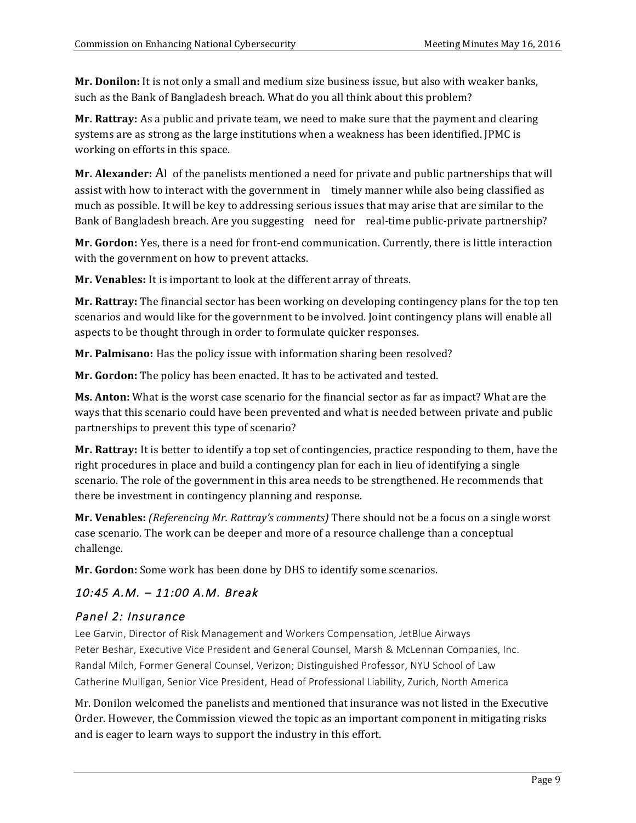**Mr. Donilon:** It is not only a small and medium size business issue, but also with weaker banks, such as the Bank of Bangladesh breach. What do you all think about this problem?

**Mr. Rattray:** As a public and private team, we need to make sure that the payment and clearing systems are as strong as the large institutions when a weakness has been identified. JPMC is working on efforts in this space.

**Mr. Alexander:** Al of the panelists mentioned a need for private and public partnerships that will assist with how to interact with the government in timely manner while also being classified as much as possible. It will be key to addressing serious issues that may arise that are similar to the Bank of Bangladesh breach. Are you suggesting need for real-time public-private partnership?

**Mr. Gordon:** Yes, there is a need for front-end communication. Currently, there is little interaction with the government on how to prevent attacks.

**Mr. Venables:** It is important to look at the different array of threats.

**Mr. Rattray:** The financial sector has been working on developing contingency plans for the top ten scenarios and would like for the government to be involved. Joint contingency plans will enable all aspects to be thought through in order to formulate quicker responses.

**Mr. Palmisano:** Has the policy issue with information sharing been resolved?

**Mr. Gordon:** The policy has been enacted. It has to be activated and tested.

**Ms. Anton:** What is the worst case scenario for the financial sector as far as impact? What are the ways that this scenario could have been prevented and what is needed between private and public partnerships to prevent this type of scenario?

Mr. Rattray: It is better to identify a top set of contingencies, practice responding to them, have the right procedures in place and build a contingency plan for each in lieu of identifying a single scenario. The role of the government in this area needs to be strengthened. He recommends that there be investment in contingency planning and response.

**Mr. Venables:** *(Referencing Mr. Rattray's comments)* There should not be a focus on a single worst case scenario. The work can be deeper and more of a resource challenge than a conceptual challenge.

**Mr. Gordon:** Some work has been done by DHS to identify some scenarios.

# 10:45 A.M. – 11:00 A.M. Break

## Panel 2: Insurance

 Lee Garvin, Director of Risk Management and Workers Compensation, JetBlue Airways Peter Beshar, Executive Vice President and General Counsel, Marsh & McLennan Companies, Inc. Randal Milch, Former General Counsel, Verizon; Distinguished Professor, NYU School of Law Catherine Mulligan, Senior Vice President, Head of Professional Liability, Zurich, North America

Mr. Donilon welcomed the panelists and mentioned that insurance was not listed in the Executive Order. However, the Commission viewed the topic as an important component in mitigating risks and is eager to learn ways to support the industry in this effort.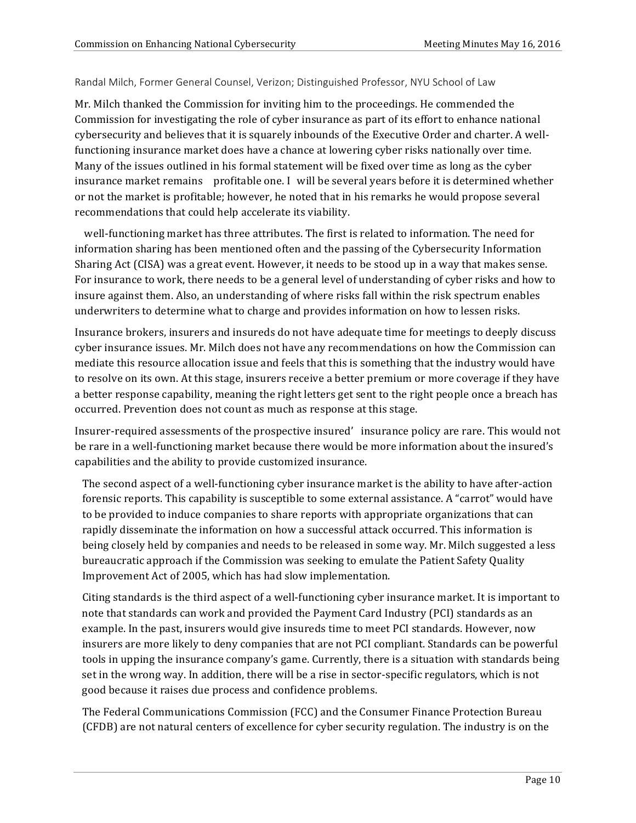#### Randal Milch, Former General Counsel, Verizon; Distinguished Professor, NYU School of Law

Mr. Milch thanked the Commission for inviting him to the proceedings. He commended the Commission for investigating the role of cyber insurance as part of its effort to enhance national cybersecurity and believes that it is squarely inbounds of the Executive Order and charter. A wellfunctioning insurance market does have a chance at lowering cyber risks nationally over time. Many of the issues outlined in his formal statement will be fixed over time as long as the cyber insurance market remains profitable one. I will be several years before it is determined whether or not the market is profitable; however, he noted that in his remarks he would propose several recommendations that could help accelerate its viability.

well-functioning market has three attributes. The first is related to information. The need for information sharing has been mentioned often and the passing of the Cybersecurity Information Sharing Act (CISA) was a great event. However, it needs to be stood up in a way that makes sense. For insurance to work, there needs to be a general level of understanding of cyber risks and how to insure against them. Also, an understanding of where risks fall within the risk spectrum enables underwriters to determine what to charge and provides information on how to lessen risks.

Insurance brokers, insurers and insureds do not have adequate time for meetings to deeply discuss cyber insurance issues. Mr. Milch does not have any recommendations on how the Commission can mediate this resource allocation issue and feels that this is something that the industry would have to resolve on its own. At this stage, insurers receive a better premium or more coverage if they have a better response capability, meaning the right letters get sent to the right people once a breach has occurred. Prevention does not count as much as response at this stage.

Insurer-required assessments of the prospective insured' insurance policy are rare. This would not be rare in a well-functioning market because there would be more information about the insured's capabilities and the ability to provide customized insurance.

The second aspect of a well-functioning cyber insurance market is the ability to have after-action forensic reports. This capability is susceptible to some external assistance. A "carrot" would have to be provided to induce companies to share reports with appropriate organizations that can rapidly disseminate the information on how a successful attack occurred. This information is being closely held by companies and needs to be released in some way. Mr. Milch suggested a less bureaucratic approach if the Commission was seeking to emulate the Patient Safety Quality Improvement Act of 2005, which has had slow implementation.

Citing standards is the third aspect of a well-functioning cyber insurance market. It is important to note that standards can work and provided the Payment Card Industry (PCI) standards as an example. In the past, insurers would give insureds time to meet PCI standards. However, now insurers are more likely to deny companies that are not PCI compliant. Standards can be powerful tools in upping the insurance company's game. Currently, there is a situation with standards being set in the wrong way. In addition, there will be a rise in sector-specific regulators, which is not good because it raises due process and confidence problems.

The Federal Communications Commission (FCC) and the Consumer Finance Protection Bureau (CFDB) are not natural centers of excellence for cyber security regulation. The industry is on the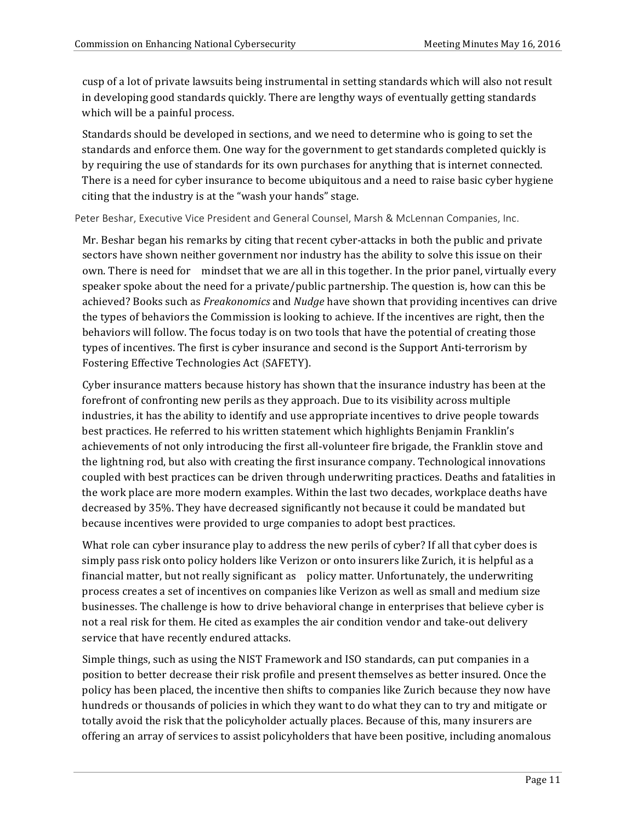cusp of a lot of private lawsuits being instrumental in setting standards which will also not result in developing good standards quickly. There are lengthy ways of eventually getting standards which will be a painful process.

Standards should be developed in sections, and we need to determine who is going to set the standards and enforce them. One way for the government to get standards completed quickly is by requiring the use of standards for its own purchases for anything that is internet connected. There is a need for cyber insurance to become ubiquitous and a need to raise basic cyber hygiene citing that the industry is at the "wash your hands" stage.

Peter Beshar, Executive Vice President and General Counsel, Marsh & McLennan Companies, Inc.

Mr. Beshar began his remarks by citing that recent cyber-attacks in both the public and private sectors have shown neither government nor industry has the ability to solve this issue on their own. There is need for mindset that we are all in this together. In the prior panel, virtually every speaker spoke about the need for a private/public partnership. The question is, how can this be achieved? Books such as *Freakonomics* and *Nudge* have shown that providing incentives can drive the types of behaviors the Commission is looking to achieve. If the incentives are right, then the behaviors will follow. The focus today is on two tools that have the potential of creating those types of incentives. The first is cyber insurance and second is the Support Anti-terrorism by Fostering Effective Technologies Act **(**SAFETY).

Cyber insurance matters because history has shown that the insurance industry has been at the forefront of confronting new perils as they approach. Due to its visibility across multiple industries, it has the ability to identify and use appropriate incentives to drive people towards best practices. He referred to his written statement which highlights Benjamin Franklin's achievements of not only introducing the first all-volunteer fire brigade, the Franklin stove and the lightning rod, but also with creating the first insurance company. Technological innovations coupled with best practices can be driven through underwriting practices. Deaths and fatalities in the work place are more modern examples. Within the last two decades, workplace deaths have decreased by 35%. They have decreased significantly not because it could be mandated but because incentives were provided to urge companies to adopt best practices.

What role can cyber insurance play to address the new perils of cyber? If all that cyber does is simply pass risk onto policy holders like Verizon or onto insurers like Zurich, it is helpful as a financial matter, but not really significant as policy matter. Unfortunately, the underwriting process creates a set of incentives on companies like Verizon as well as small and medium size businesses. The challenge is how to drive behavioral change in enterprises that believe cyber is not a real risk for them. He cited as examples the air condition vendor and take-out delivery service that have recently endured attacks.

Simple things, such as using the NIST Framework and ISO standards, can put companies in a position to better decrease their risk profile and present themselves as better insured. Once the policy has been placed, the incentive then shifts to companies like Zurich because they now have hundreds or thousands of policies in which they want to do what they can to try and mitigate or totally avoid the risk that the policyholder actually places. Because of this, many insurers are offering an array of services to assist policyholders that have been positive, including anomalous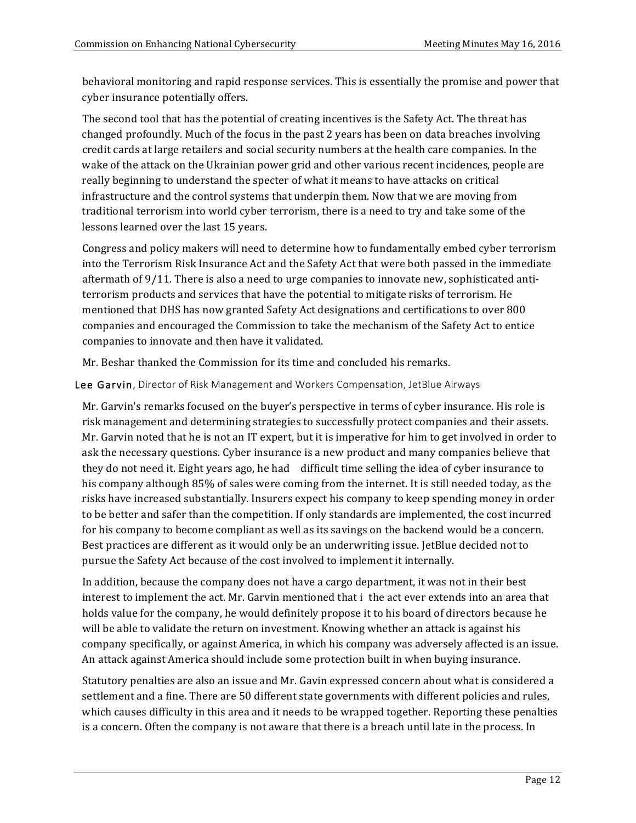behavioral monitoring and rapid response services. This is essentially the promise and power that cyber insurance potentially offers.

The second tool that has the potential of creating incentives is the Safety Act. The threat has changed profoundly. Much of the focus in the past 2 years has been on data breaches involving credit cards at large retailers and social security numbers at the health care companies. In the wake of the attack on the Ukrainian power grid and other various recent incidences, people are really beginning to understand the specter of what it means to have attacks on critical infrastructure and the control systems that underpin them. Now that we are moving from traditional terrorism into world cyber terrorism, there is a need to try and take some of the lessons learned over the last 15 years.

Congress and policy makers will need to determine how to fundamentally embed cyber terrorism into the Terrorism Risk Insurance Act and the Safety Act that were both passed in the immediate aftermath of 9/11. There is also a need to urge companies to innovate new, sophisticated antiterrorism products and services that have the potential to mitigate risks of terrorism. He mentioned that DHS has now granted Safety Act designations and certifications to over 800 companies and encouraged the Commission to take the mechanism of the Safety Act to entice companies to innovate and then have it validated.

Mr. Beshar thanked the Commission for its time and concluded his remarks.

Lee Garvin, Director of Risk Management and Workers Compensation, JetBlue Airways

Mr. Garvin's remarks focused on the buyer's perspective in terms of cyber insurance. His role is risk management and determining strategies to successfully protect companies and their assets. Mr. Garvin noted that he is not an IT expert, but it is imperative for him to get involved in order to ask the necessary questions. Cyber insurance is a new product and many companies believe that they do not need it. Eight years ago, he had difficult time selling the idea of cyber insurance to his company although 85% of sales were coming from the internet. It is still needed today, as the risks have increased substantially. Insurers expect his company to keep spending money in order to be better and safer than the competition. If only standards are implemented, the cost incurred for his company to become compliant as well as its savings on the backend would be a concern. Best practices are different as it would only be an underwriting issue. JetBlue decided not to pursue the Safety Act because of the cost involved to implement it internally.

In addition, because the company does not have a cargo department, it was not in their best interest to implement the act. Mr. Garvin mentioned that i the act ever extends into an area that holds value for the company, he would definitely propose it to his board of directors because he will be able to validate the return on investment. Knowing whether an attack is against his company specifically, or against America, in which his company was adversely affected is an issue. An attack against America should include some protection built in when buying insurance.

Statutory penalties are also an issue and Mr. Gavin expressed concern about what is considered a settlement and a fine. There are 50 different state governments with different policies and rules, which causes difficulty in this area and it needs to be wrapped together. Reporting these penalties is a concern. Often the company is not aware that there is a breach until late in the process. In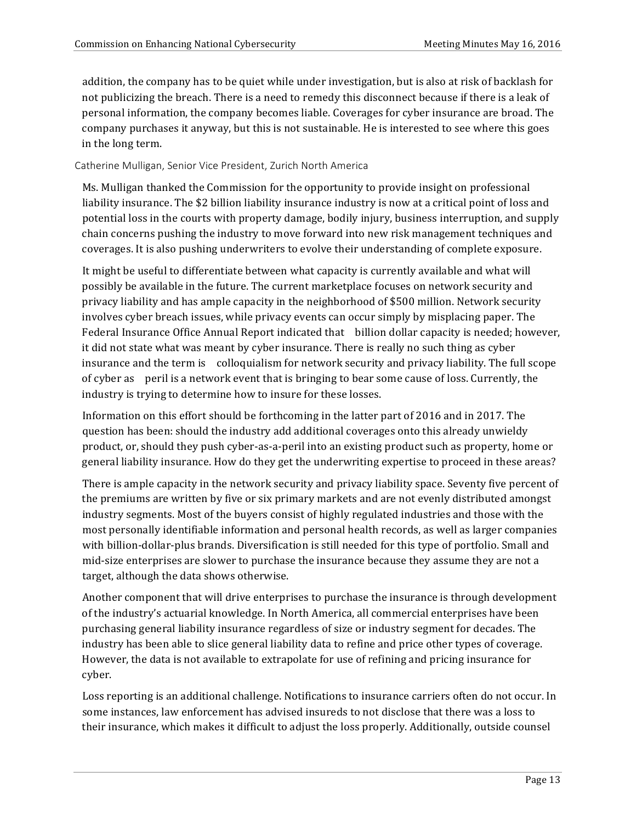addition, the company has to be quiet while under investigation, but is also at risk of backlash for not publicizing the breach. There is a need to remedy this disconnect because if there is a leak of personal information, the company becomes liable. Coverages for cyber insurance are broad. The company purchases it anyway, but this is not sustainable. He is interested to see where this goes in the long term.

Catherine Mulligan, Senior Vice President, Zurich North America

Ms. Mulligan thanked the Commission for the opportunity to provide insight on professional liability insurance. The \$2 billion liability insurance industry is now at a critical point of loss and potential loss in the courts with property damage, bodily injury, business interruption, and supply chain concerns pushing the industry to move forward into new risk management techniques and coverages. It is also pushing underwriters to evolve their understanding of complete exposure.

It might be useful to differentiate between what capacity is currently available and what will possibly be available in the future. The current marketplace focuses on network security and privacy liability and has ample capacity in the neighborhood of \$500 million. Network security involves cyber breach issues, while privacy events can occur simply by misplacing paper. The Federal Insurance Office Annual Report indicated that billion dollar capacity is needed; however, it did not state what was meant by cyber insurance. There is really no such thing as cyber insurance and the term is colloquialism for network security and privacy liability. The full scope of cyber as peril is a network event that is bringing to bear some cause of loss. Currently, the industry is trying to determine how to insure for these losses.

Information on this effort should be forthcoming in the latter part of 2016 and in 2017. The question has been: should the industry add additional coverages onto this already unwieldy product, or, should they push cyber-as-a-peril into an existing product such as property, home or general liability insurance. How do they get the underwriting expertise to proceed in these areas?

There is ample capacity in the network security and privacy liability space. Seventy five percent of the premiums are written by five or six primary markets and are not evenly distributed amongst industry segments. Most of the buyers consist of highly regulated industries and those with the most personally identifiable information and personal health records, as well as larger companies with billion-dollar-plus brands. Diversification is still needed for this type of portfolio. Small and mid-size enterprises are slower to purchase the insurance because they assume they are not a target, although the data shows otherwise.

Another component that will drive enterprises to purchase the insurance is through development of the industry's actuarial knowledge. In North America, all commercial enterprises have been purchasing general liability insurance regardless of size or industry segment for decades. The industry has been able to slice general liability data to refine and price other types of coverage. However, the data is not available to extrapolate for use of refining and pricing insurance for cyber.

Loss reporting is an additional challenge. Notifications to insurance carriers often do not occur. In some instances, law enforcement has advised insureds to not disclose that there was a loss to their insurance, which makes it difficult to adjust the loss properly. Additionally, outside counsel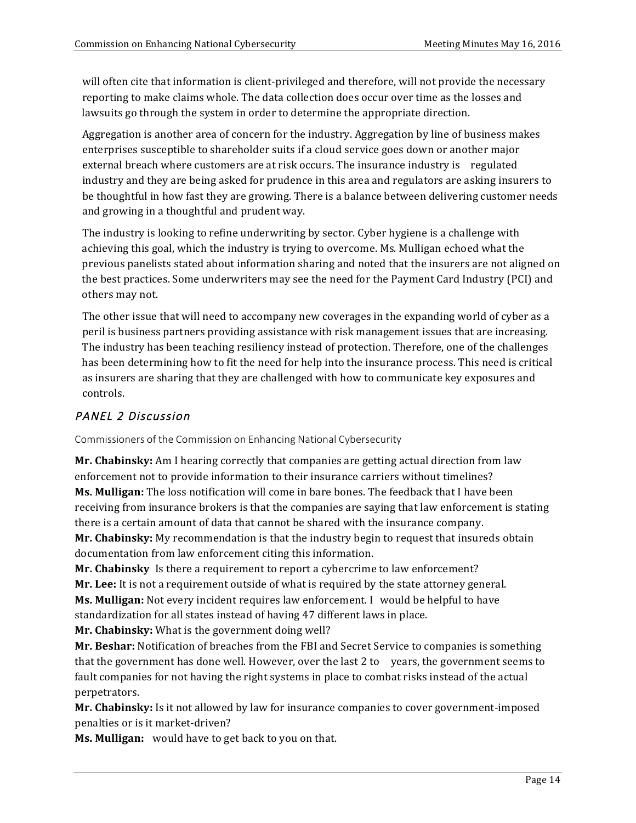will often cite that information is client-privileged and therefore, will not provide the necessary reporting to make claims whole. The data collection does occur over time as the losses and lawsuits go through the system in order to determine the appropriate direction.

Aggregation is another area of concern for the industry. Aggregation by line of business makes enterprises susceptible to shareholder suits if a cloud service goes down or another major external breach where customers are at risk occurs. The insurance industry is regulated industry and they are being asked for prudence in this area and regulators are asking insurers to be thoughtful in how fast they are growing. There is a balance between delivering customer needs and growing in a thoughtful and prudent way.

The industry is looking to refine underwriting by sector. Cyber hygiene is a challenge with achieving this goal, which the industry is trying to overcome. Ms. Mulligan echoed what the previous panelists stated about information sharing and noted that the insurers are not aligned on the best practices. Some underwriters may see the need for the Payment Card Industry (PCI) and others may not.

The other issue that will need to accompany new coverages in the expanding world of cyber as a peril is business partners providing assistance with risk management issues that are increasing. The industry has been teaching resiliency instead of protection. Therefore, one of the challenges has been determining how to fit the need for help into the insurance process. This need is critical as insurers are sharing that they are challenged with how to communicate key exposures and controls.

# PANEL 2 Discussion

Commissioners of the Commission on Enhancing National Cybersecurity

**Mr. Chabinsky:** Am I hearing correctly that companies are getting actual direction from law enforcement not to provide information to their insurance carriers without timelines? **Ms. Mulligan:** The loss notification will come in bare bones. The feedback that I have been receiving from insurance brokers is that the companies are saying that law enforcement is stating there is a certain amount of data that cannot be shared with the insurance company.

**Mr. Chabinsky:** My recommendation is that the industry begin to request that insureds obtain documentation from law enforcement citing this information.

**Mr. Chabinsky** Is there a requirement to report a cybercrime to law enforcement?

Mr. Lee: It is not a requirement outside of what is required by the state attorney general.

**Ms. Mulligan:** Not every incident requires law enforcement. I would be helpful to have

standardization for all states instead of having 47 different laws in place.

**Mr. Chabinsky:** What is the government doing well?

Mr. Beshar: Notification of breaches from the FBI and Secret Service to companies is something that the government has done well. However, over the last 2 to years, the government seems to fault companies for not having the right systems in place to combat risks instead of the actual perpetrators.

**Mr. Chabinsky:** Is it not allowed by law for insurance companies to cover government-imposed penalties or is it market-driven?

**Ms. Mulligan:** would have to get back to you on that.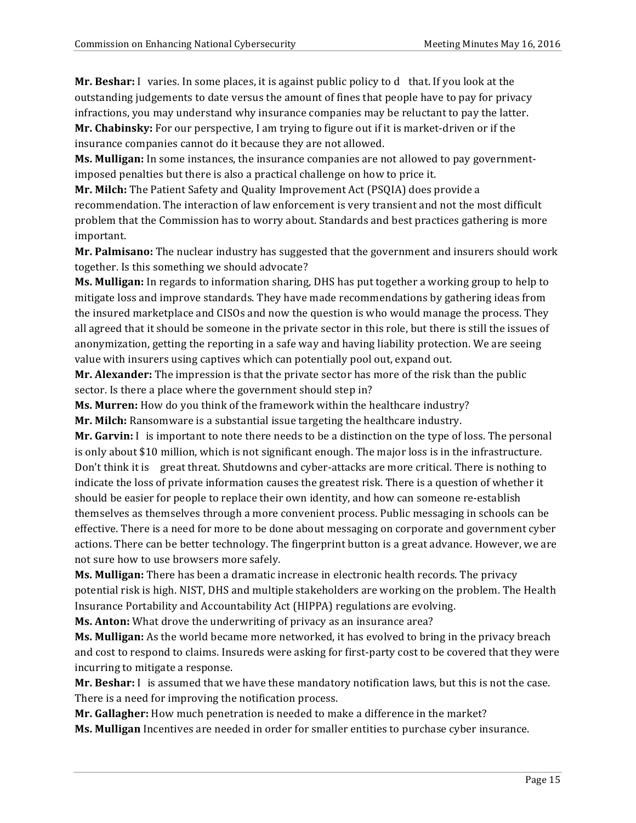**Mr. Beshar:** I varies. In some places, it is against public policy to d that. If you look at the outstanding judgements to date versus the amount of fines that people have to pay for privacy infractions, you may understand why insurance companies may be reluctant to pay the latter.

**Mr. Chabinsky:** For our perspective, I am trying to figure out if it is market-driven or if the insurance companies cannot do it because they are not allowed.

**Ms. Mulligan:** In some instances, the insurance companies are not allowed to pay governmentimposed penalties but there is also a practical challenge on how to price it.

**Mr. Milch:** The Patient Safety and Quality Improvement Act (PSQIA) does provide a recommendation. The interaction of law enforcement is very transient and not the most difficult problem that the Commission has to worry about. Standards and best practices gathering is more important.

**Mr. Palmisano:** The nuclear industry has suggested that the government and insurers should work together. Is this something we should advocate?

**Ms. Mulligan:** In regards to information sharing, DHS has put together a working group to help to mitigate loss and improve standards. They have made recommendations by gathering ideas from the insured marketplace and CISOs and now the question is who would manage the process. They all agreed that it should be someone in the private sector in this role, but there is still the issues of anonymization, getting the reporting in a safe way and having liability protection. We are seeing value with insurers using captives which can potentially pool out, expand out.

**Mr. Alexander:** The impression is that the private sector has more of the risk than the public sector. Is there a place where the government should step in?

**Ms. Murren:** How do you think of the framework within the healthcare industry?

**Mr. Milch:** Ransomware is a substantial issue targeting the healthcare industry.

**Mr. Garvin:** I is important to note there needs to be a distinction on the type of loss. The personal is only about \$10 million, which is not significant enough. The major loss is in the infrastructure. Don't think it is great threat. Shutdowns and cyber-attacks are more critical. There is nothing to indicate the loss of private information causes the greatest risk. There is a question of whether it should be easier for people to replace their own identity, and how can someone re-establish themselves as themselves through a more convenient process. Public messaging in schools can be effective. There is a need for more to be done about messaging on corporate and government cyber actions. There can be better technology. The fingerprint button is a great advance. However, we are not sure how to use browsers more safely.

**Ms. Mulligan:** There has been a dramatic increase in electronic health records. The privacy potential risk is high. NIST, DHS and multiple stakeholders are working on the problem. The Health Insurance Portability and Accountability Act (HIPPA) regulations are evolving.

**Ms. Anton:** What drove the underwriting of privacy as an insurance area?

**Ms. Mulligan:** As the world became more networked, it has evolved to bring in the privacy breach and cost to respond to claims. Insureds were asking for first-party cost to be covered that they were incurring to mitigate a response.

**Mr. Beshar:** I is assumed that we have these mandatory notification laws, but this is not the case. There is a need for improving the notification process.

**Mr. Gallagher:** How much penetration is needed to make a difference in the market?

**Ms. Mulligan** Incentives are needed in order for smaller entities to purchase cyber insurance.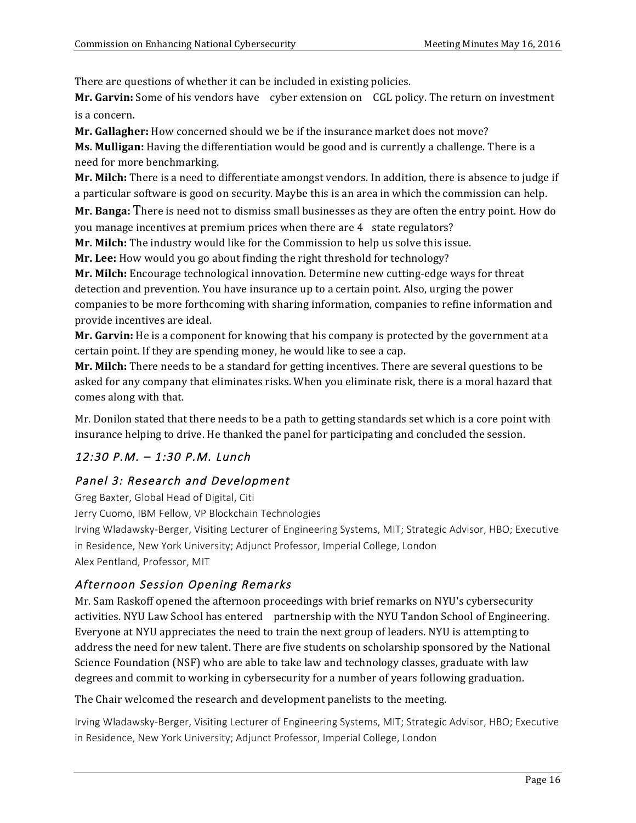There are questions of whether it can be included in existing policies.

Mr. Garvin: Some of his vendors have cyber extension on CGL policy. The return on investment is a concern.

**Mr. Gallagher:** How concerned should we be if the insurance market does not move?

**Ms. Mulligan:** Having the differentiation would be good and is currently a challenge. There is a need for more benchmarking.

**Mr. Milch:** There is a need to differentiate amongst vendors. In addition, there is absence to judge if a particular software is good on security. Maybe this is an area in which the commission can help.

**Mr. Banga:** There is need not to dismiss small businesses as they are often the entry point. How do you manage incentives at premium prices when there are 4 state regulators?

**Mr. Milch:** The industry would like for the Commission to help us solve this issue.

**Mr. Lee:** How would you go about finding the right threshold for technology?

Mr. Milch: Encourage technological innovation. Determine new cutting-edge ways for threat detection and prevention. You have insurance up to a certain point. Also, urging the power companies to be more forthcoming with sharing information, companies to refine information and provide incentives are ideal.

**Mr. Garvin:** He is a component for knowing that his company is protected by the government at a certain point. If they are spending money, he would like to see a cap.

**Mr. Milch:** There needs to be a standard for getting incentives. There are several questions to be asked for any company that eliminates risks. When you eliminate risk, there is a moral hazard that comes along with that.

Mr. Donilon stated that there needs to be a path to getting standards set which is a core point with insurance helping to drive. He thanked the panel for participating and concluded the session.

# 12:30 P.M. – 1:30 P.M. Lunch

# Panel 3: Research and Development

 Greg Baxter, Global Head of Digital, Citi Jerry Cuomo, IBM Fellow, VP Blockchain Technologies Irving Wladawsky-Berger, Visiting Lecturer of Engineering Systems, MIT; Strategic Advisor, HBO; Executive in Residence, New York University; Adjunct Professor, Imperial College, London Alex Pentland, Professor, MIT

## Afternoon Session Opening Remarks

Mr. Sam Raskoff opened the afternoon proceedings with brief remarks on NYU's cybersecurity activities. NYU Law School has entered partnership with the NYU Tandon School of Engineering. Everyone at NYU appreciates the need to train the next group of leaders. NYU is attempting to address the need for new talent. There are five students on scholarship sponsored by the National Science Foundation (NSF) who are able to take law and technology classes, graduate with law degrees and commit to working in cybersecurity for a number of years following graduation.

### The Chair welcomed the research and development panelists to the meeting.

 Irving Wladawsky-Berger, Visiting Lecturer of Engineering Systems, MIT; Strategic Advisor, HBO; Executive in Residence, New York University; Adjunct Professor, Imperial College, London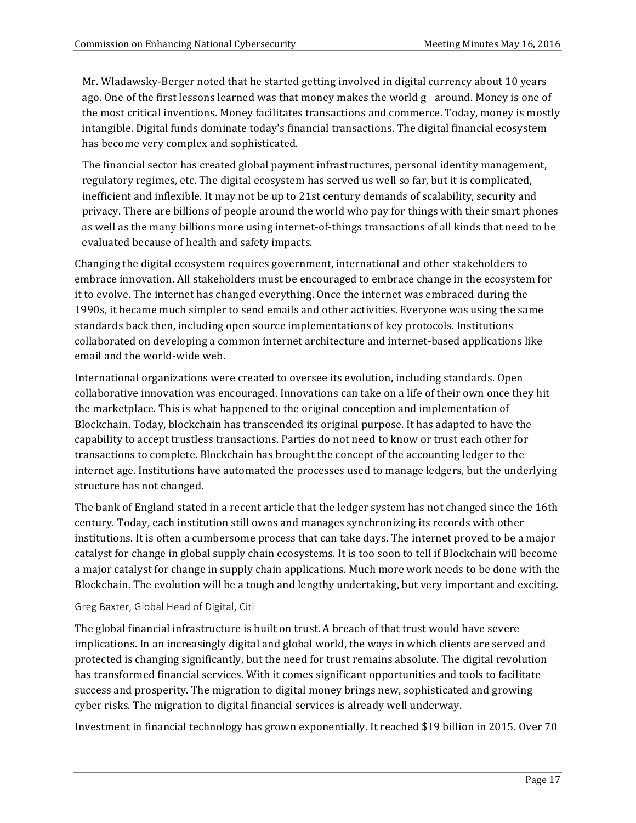Mr. Wladawsky-Berger noted that he started getting involved in digital currency about 10 years ago. One of the first lessons learned was that money makes the world g around. Money is one of the most critical inventions. Money facilitates transactions and commerce. Today, money is mostly intangible. Digital funds dominate today's financial transactions. The digital financial ecosystem has become very complex and sophisticated.

The financial sector has created global payment infrastructures, personal identity management, regulatory regimes, etc. The digital ecosystem has served us well so far, but it is complicated, inefficient and inflexible. It may not be up to 21st century demands of scalability, security and privacy. There are billions of people around the world who pay for things with their smart phones as well as the many billions more using internet-of-things transactions of all kinds that need to be evaluated because of health and safety impacts.

Changing the digital ecosystem requires government, international and other stakeholders to embrace innovation. All stakeholders must be encouraged to embrace change in the ecosystem for it to evolve. The internet has changed everything. Once the internet was embraced during the 1990s, it became much simpler to send emails and other activities. Everyone was using the same standards back then, including open source implementations of key protocols. Institutions collaborated on developing a common internet architecture and internet-based applications like email and the world-wide web.

International organizations were created to oversee its evolution, including standards. Open collaborative innovation was encouraged. Innovations can take on a life of their own once they hit the marketplace. This is what happened to the original conception and implementation of Blockchain. Today, blockchain has transcended its original purpose. It has adapted to have the capability to accept trustless transactions. Parties do not need to know or trust each other for transactions to complete. Blockchain has brought the concept of the accounting ledger to the internet age. Institutions have automated the processes used to manage ledgers, but the underlying structure has not changed.

The bank of England stated in a recent article that the ledger system has not changed since the 16th century. Today, each institution still owns and manages synchronizing its records with other institutions. It is often a cumbersome process that can take days. The internet proved to be a major catalyst for change in global supply chain ecosystems. It is too soon to tell if Blockchain will become a major catalyst for change in supply chain applications. Much more work needs to be done with the Blockchain. The evolution will be a tough and lengthy undertaking, but very important and exciting.

#### Greg Baxter, Global Head of Digital, Citi

The global financial infrastructure is built on trust. A breach of that trust would have severe implications. In an increasingly digital and global world, the ways in which clients are served and protected is changing significantly, but the need for trust remains absolute. The digital revolution has transformed financial services. With it comes significant opportunities and tools to facilitate success and prosperity. The migration to digital money brings new, sophisticated and growing cyber risks. The migration to digital financial services is already well underway.

Investment in financial technology has grown exponentially. It reached \$19 billion in 2015. Over 70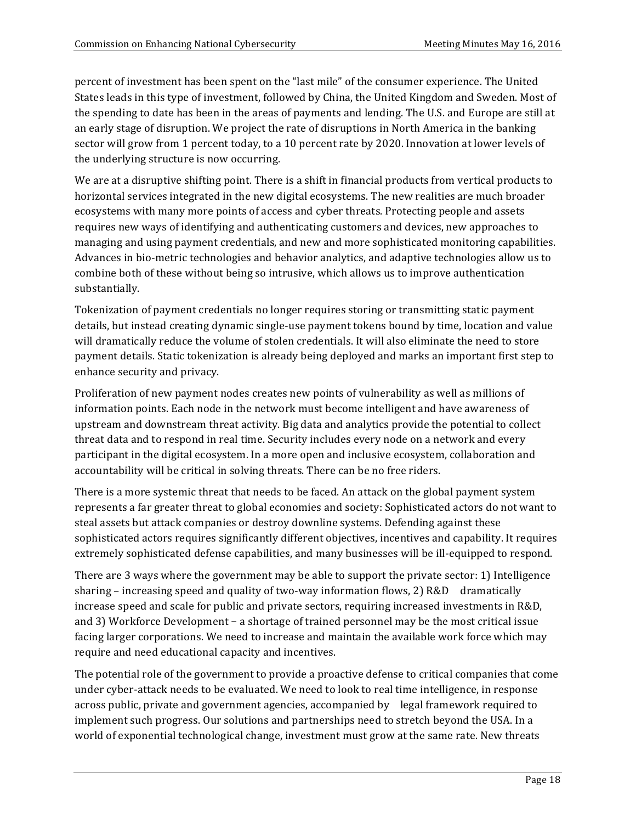percent of investment has been spent on the "last mile" of the consumer experience. The United States leads in this type of investment, followed by China, the United Kingdom and Sweden. Most of the spending to date has been in the areas of payments and lending. The U.S. and Europe are still at an early stage of disruption. We project the rate of disruptions in North America in the banking sector will grow from 1 percent today, to a 10 percent rate by 2020. Innovation at lower levels of the underlying structure is now occurring.

We are at a disruptive shifting point. There is a shift in financial products from vertical products to horizontal services integrated in the new digital ecosystems. The new realities are much broader ecosystems with many more points of access and cyber threats. Protecting people and assets requires new ways of identifying and authenticating customers and devices, new approaches to managing and using payment credentials, and new and more sophisticated monitoring capabilities. Advances in bio-metric technologies and behavior analytics, and adaptive technologies allow us to combine both of these without being so intrusive, which allows us to improve authentication substantially.

Tokenization of payment credentials no longer requires storing or transmitting static payment details, but instead creating dynamic single-use payment tokens bound by time, location and value will dramatically reduce the volume of stolen credentials. It will also eliminate the need to store payment details. Static tokenization is already being deployed and marks an important first step to enhance security and privacy.

Proliferation of new payment nodes creates new points of vulnerability as well as millions of information points. Each node in the network must become intelligent and have awareness of upstream and downstream threat activity. Big data and analytics provide the potential to collect threat data and to respond in real time. Security includes every node on a network and every participant in the digital ecosystem. In a more open and inclusive ecosystem, collaboration and accountability will be critical in solving threats. There can be no free riders.

There is a more systemic threat that needs to be faced. An attack on the global payment system represents a far greater threat to global economies and society: Sophisticated actors do not want to steal assets but attack companies or destroy downline systems. Defending against these sophisticated actors requires significantly different objectives, incentives and capability. It requires extremely sophisticated defense capabilities, and many businesses will be ill-equipped to respond.

There are 3 ways where the government may be able to support the private sector: 1) Intelligence sharing – increasing speed and quality of two-way information flows, 2)  $R&D$  dramatically increase speed and scale for public and private sectors, requiring increased investments in R&D, and 3) Workforce Development − a shortage of trained personnel may be the most critical issue facing larger corporations. We need to increase and maintain the available work force which may require and need educational capacity and incentives.

The potential role of the government to provide a proactive defense to critical companies that come under cyber-attack needs to be evaluated. We need to look to real time intelligence, in response across public, private and government agencies, accompanied by legal framework required to implement such progress. Our solutions and partnerships need to stretch beyond the USA. In a world of exponential technological change, investment must grow at the same rate. New threats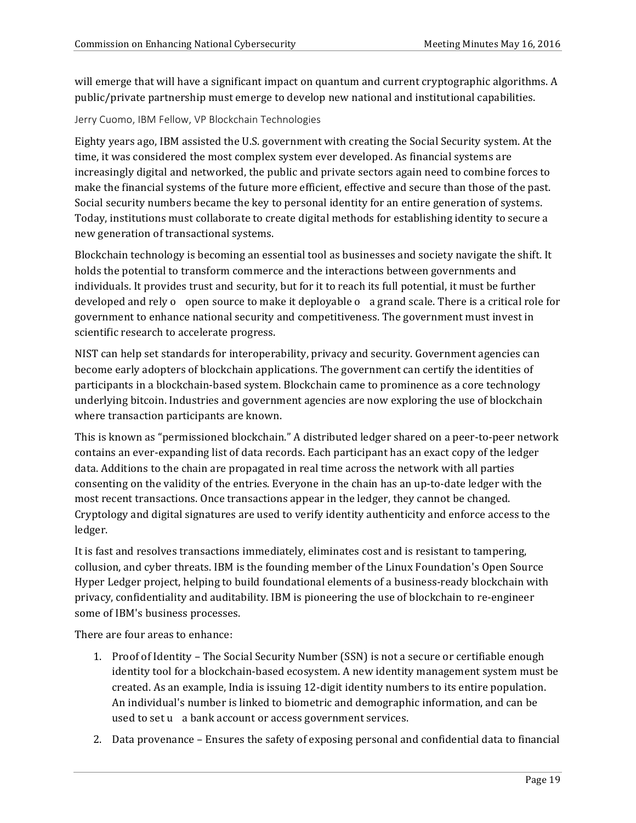will emerge that will have a significant impact on quantum and current cryptographic algorithms. A public/private partnership must emerge to develop new national and institutional capabilities.

#### Jerry Cuomo, IBM Fellow, VP Blockchain Technologies

Eighty years ago, IBM assisted the U.S. government with creating the Social Security system. At the time, it was considered the most complex system ever developed. As financial systems are increasingly digital and networked, the public and private sectors again need to combine forces to make the financial systems of the future more efficient, effective and secure than those of the past. Social security numbers became the key to personal identity for an entire generation of systems. Today, institutions must collaborate to create digital methods for establishing identity to secure a new generation of transactional systems.

Blockchain technology is becoming an essential tool as businesses and society navigate the shift. It holds the potential to transform commerce and the interactions between governments and individuals. It provides trust and security, but for it to reach its full potential, it must be further developed and rely o open source to make it deployable o a grand scale. There is a critical role for government to enhance national security and competitiveness. The government must invest in scientific research to accelerate progress.

NIST can help set standards for interoperability, privacy and security. Government agencies can become early adopters of blockchain applications. The government can certify the identities of participants in a blockchain-based system. Blockchain came to prominence as a core technology underlying bitcoin. Industries and government agencies are now exploring the use of blockchain where transaction participants are known.

This is known as "permissioned blockchain." A distributed ledger shared on a peer-to-peer network contains an ever-expanding list of data records. Each participant has an exact copy of the ledger data. Additions to the chain are propagated in real time across the network with all parties consenting on the validity of the entries. Everyone in the chain has an up-to-date ledger with the most recent transactions. Once transactions appear in the ledger, they cannot be changed. Cryptology and digital signatures are used to verify identity authenticity and enforce access to the ledger.

It is fast and resolves transactions immediately, eliminates cost and is resistant to tampering, collusion, and cyber threats. IBM is the founding member of the Linux Foundation's Open Source Hyper Ledger project, helping to build foundational elements of a business-ready blockchain with privacy, confidentiality and auditability. IBM is pioneering the use of blockchain to re-engineer some of IBM's business processes.

There are four areas to enhance:

- 1. Proof of Identity The Social Security Number (SSN) is not a secure or certifiable enough identity tool for a blockchain-based ecosystem. A new identity management system must be created. As an example, India is issuing 12-digit identity numbers to its entire population. An individual's number is linked to biometric and demographic information, and can be used to set u a bank account or access government services.
- 2. Data provenance Ensures the safety of exposing personal and confidential data to financial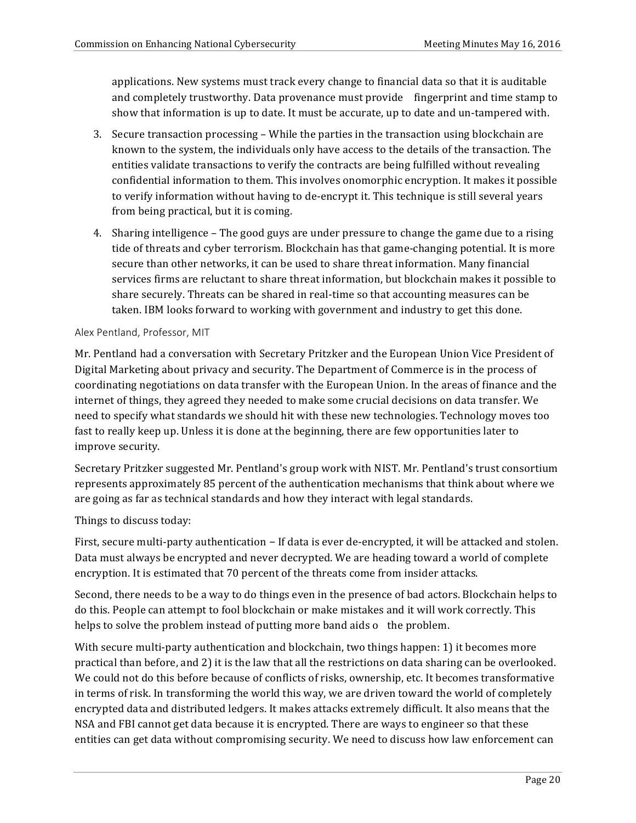applications. New systems must track every change to financial data so that it is auditable and completely trustworthy. Data provenance must provide fingerprint and time stamp to show that information is up to date. It must be accurate, up to date and un-tampered with.

- 3. Secure transaction processing While the parties in the transaction using blockchain are known to the system, the individuals only have access to the details of the transaction. The entities validate transactions to verify the contracts are being fulfilled without revealing confidential information to them. This involves onomorphic encryption. It makes it possible to verify information without having to de-encrypt it. This technique is still several years from being practical, but it is coming.
- 4. Sharing intelligence The good guys are under pressure to change the game due to a rising tide of threats and cyber terrorism. Blockchain has that game-changing potential. It is more secure than other networks, it can be used to share threat information. Many financial services firms are reluctant to share threat information, but blockchain makes it possible to share securely. Threats can be shared in real-time so that accounting measures can be taken. IBM looks forward to working with government and industry to get this done.

#### Alex Pentland, Professor, MIT

Mr. Pentland had a conversation with Secretary Pritzker and the European Union Vice President of Digital Marketing about privacy and security. The Department of Commerce is in the process of coordinating negotiations on data transfer with the European Union. In the areas of finance and the internet of things, they agreed they needed to make some crucial decisions on data transfer. We need to specify what standards we should hit with these new technologies. Technology moves too fast to really keep up. Unless it is done at the beginning, there are few opportunities later to improve security.

Secretary Pritzker suggested Mr. Pentland's group work with NIST. Mr. Pentland's trust consortium represents approximately 85 percent of the authentication mechanisms that think about where we are going as far as technical standards and how they interact with legal standards.

### Things to discuss today:

First, secure multi-party authentication – If data is ever de-encrypted, it will be attacked and stolen. Data must always be encrypted and never decrypted. We are heading toward a world of complete encryption. It is estimated that 70 percent of the threats come from insider attacks.

Second, there needs to be a way to do things even in the presence of bad actors. Blockchain helps to do this. People can attempt to fool blockchain or make mistakes and it will work correctly. This helps to solve the problem instead of putting more band aids o the problem.

With secure multi-party authentication and blockchain, two things happen: 1) it becomes more practical than before, and 2) it is the law that all the restrictions on data sharing can be overlooked. We could not do this before because of conflicts of risks, ownership, etc. It becomes transformative in terms of risk. In transforming the world this way, we are driven toward the world of completely encrypted data and distributed ledgers. It makes attacks extremely difficult. It also means that the NSA and FBI cannot get data because it is encrypted. There are ways to engineer so that these entities can get data without compromising security. We need to discuss how law enforcement can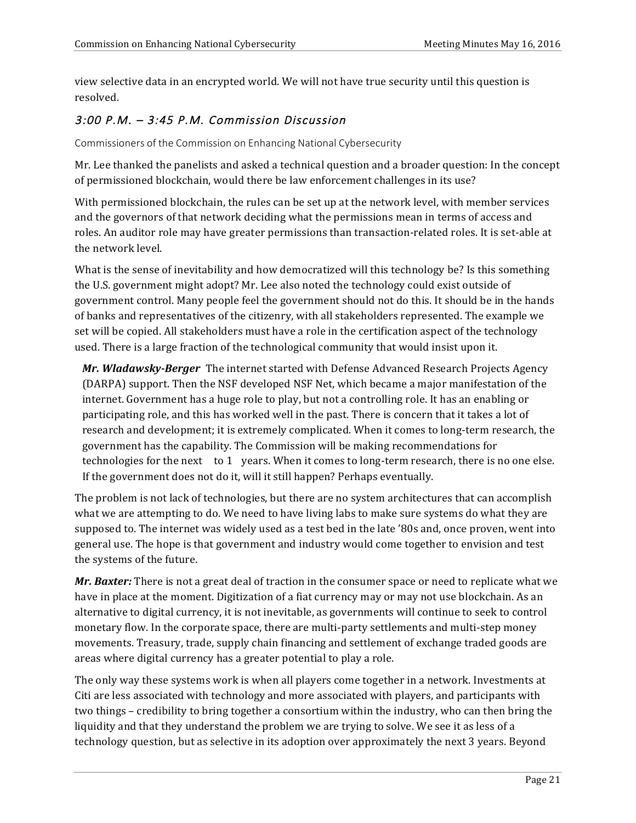view selective data in an encrypted world. We will not have true security until this question is resolved.

# 3:00 P.M. – 3:45 P.M. Commission Discussion

Commissioners of the Commission on Enhancing National Cybersecurity

Mr. Lee thanked the panelists and asked a technical question and a broader question: In the concept of permissioned blockchain, would there be law enforcement challenges in its use?

With permissioned blockchain, the rules can be set up at the network level, with member services and the governors of that network deciding what the permissions mean in terms of access and roles. An auditor role may have greater permissions than transaction-related roles. It is set-able at the network level.

What is the sense of inevitability and how democratized will this technology be? Is this something the U.S. government might adopt? Mr. Lee also noted the technology could exist outside of government control. Many people feel the government should not do this. It should be in the hands of banks and representatives of the citizenry, with all stakeholders represented. The example we set will be copied. All stakeholders must have a role in the certification aspect of the technology used. There is a large fraction of the technological community that would insist upon it.

*Mr. Wladawsky-Berger* The internet started with Defense Advanced Research Projects Agency (DARPA) support. Then the NSF developed NSF Net, which became a major manifestation of the internet. Government has a huge role to play, but not a controlling role. It has an enabling or participating role, and this has worked well in the past. There is concern that it takes a lot of research and development; it is extremely complicated. When it comes to long-term research, the government has the capability. The Commission will be making recommendations for technologies for the next to 1 years. When it comes to long-term research, there is no one else. If the government does not do it, will it still happen? Perhaps eventually.

The problem is not lack of technologies, but there are no system architectures that can accomplish what we are attempting to do. We need to have living labs to make sure systems do what they are supposed to. The internet was widely used as a test bed in the late '80s and, once proven, went into general use. The hope is that government and industry would come together to envision and test the systems of the future.

**Mr. Baxter:** There is not a great deal of traction in the consumer space or need to replicate what we have in place at the moment. Digitization of a fiat currency may or may not use blockchain. As an alternative to digital currency, it is not inevitable, as governments will continue to seek to control monetary flow. In the corporate space, there are multi-party settlements and multi-step money movements. Treasury, trade, supply chain financing and settlement of exchange traded goods are areas where digital currency has a greater potential to play a role.

The only way these systems work is when all players come together in a network. Investments at Citi are less associated with technology and more associated with players, and participants with two things – credibility to bring together a consortium within the industry, who can then bring the liquidity and that they understand the problem we are trying to solve. We see it as less of a technology question, but as selective in its adoption over approximately the next 3 years. Beyond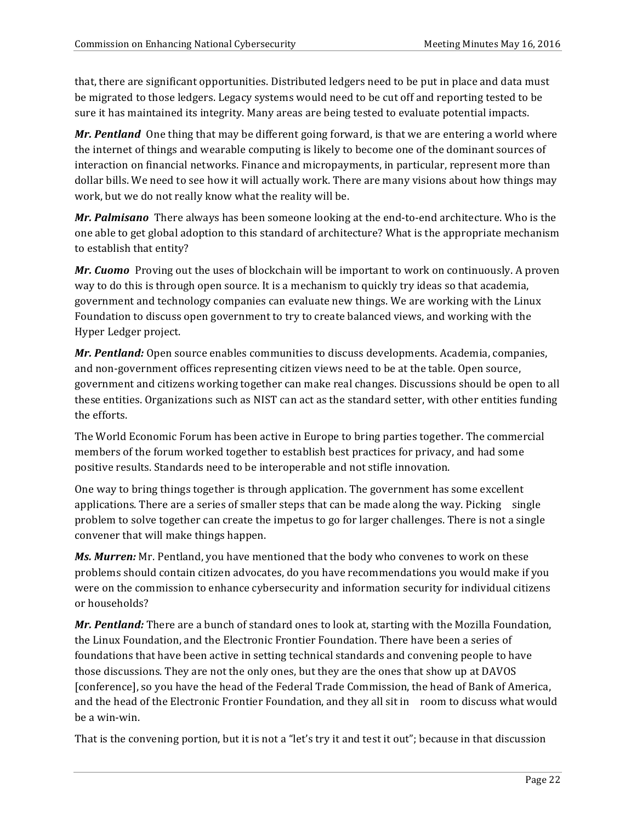that, there are significant opportunities. Distributed ledgers need to be put in place and data must be migrated to those ledgers. Legacy systems would need to be cut off and reporting tested to be sure it has maintained its integrity. Many areas are being tested to evaluate potential impacts.

*Mr. Pentland* One thing that may be different going forward, is that we are entering a world where the internet of things and wearable computing is likely to become one of the dominant sources of interaction on financial networks. Finance and micropayments, in particular, represent more than dollar bills. We need to see how it will actually work. There are many visions about how things may work, but we do not really know what the reality will be.

*Mr. Palmisano* There always has been someone looking at the end-to-end architecture. Who is the one able to get global adoption to this standard of architecture? What is the appropriate mechanism to establish that entity?

*Mr. Cuomo* Proving out the uses of blockchain will be important to work on continuously. A proven way to do this is through open source. It is a mechanism to quickly try ideas so that academia, government and technology companies can evaluate new things. We are working with the Linux Foundation to discuss open government to try to create balanced views, and working with the Hyper Ledger project.

*Mr. Pentland:* Open source enables communities to discuss developments. Academia, companies, and non-government offices representing citizen views need to be at the table. Open source, government and citizens working together can make real changes. Discussions should be open to all these entities. Organizations such as NIST can act as the standard setter, with other entities funding the efforts.

The World Economic Forum has been active in Europe to bring parties together. The commercial members of the forum worked together to establish best practices for privacy, and had some positive results. Standards need to be interoperable and not stifle innovation.

One way to bring things together is through application. The government has some excellent applications. There are a series of smaller steps that can be made along the way. Picking  $\sin\theta$ problem to solve together can create the impetus to go for larger challenges. There is not a single convener that will make things happen.

*Ms. Murren:* Mr. Pentland, you have mentioned that the body who convenes to work on these problems should contain citizen advocates, do you have recommendations you would make if you were on the commission to enhance cybersecurity and information security for individual citizens or households?

*Mr. Pentland:* There are a bunch of standard ones to look at, starting with the Mozilla Foundation, the Linux Foundation, and the Electronic Frontier Foundation. There have been a series of foundations that have been active in setting technical standards and convening people to have those discussions. They are not the only ones, but they are the ones that show up at DAVOS [conference], so you have the head of the Federal Trade Commission, the head of Bank of America, and the head of the Electronic Frontier Foundation, and they all sit in room to discuss what would be a win-win.

That is the convening portion, but it is not a "let's try it and test it out"; because in that discussion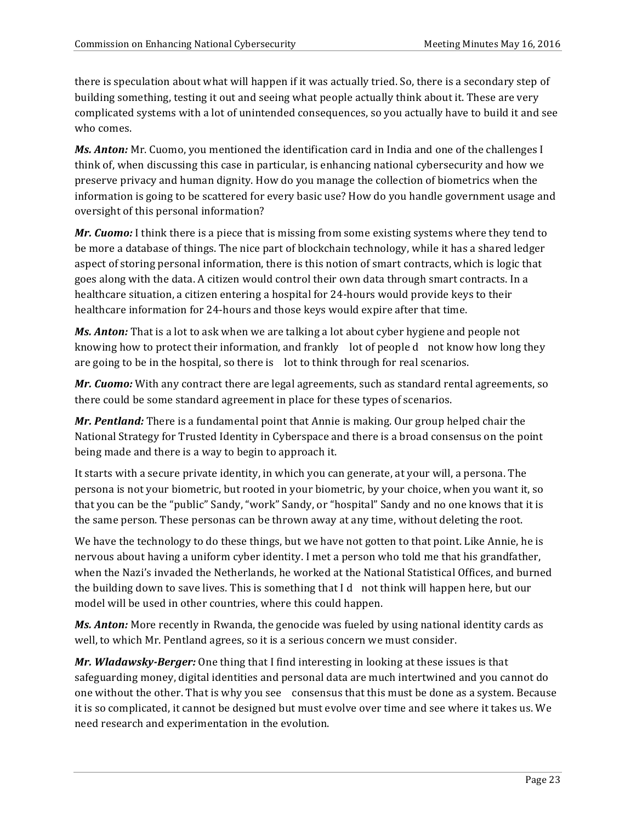there is speculation about what will happen if it was actually tried. So, there is a secondary step of building something, testing it out and seeing what people actually think about it. These are very complicated systems with a lot of unintended consequences, so you actually have to build it and see who comes.

*Ms. Anton:* Mr. Cuomo, you mentioned the identification card in India and one of the challenges I think of, when discussing this case in particular, is enhancing national cybersecurity and how we preserve privacy and human dignity. How do you manage the collection of biometrics when the information is going to be scattered for every basic use? How do you handle government usage and oversight of this personal information?

*Mr. Cuomo:* I think there is a piece that is missing from some existing systems where they tend to be more a database of things. The nice part of blockchain technology, while it has a shared ledger aspect of storing personal information, there is this notion of smart contracts, which is logic that goes along with the data. A citizen would control their own data through smart contracts. In a healthcare situation, a citizen entering a hospital for 24-hours would provide keys to their healthcare information for 24-hours and those keys would expire after that time.

**Ms. Anton:** That is a lot to ask when we are talking a lot about cyber hygiene and people not knowing how to protect their information, and frankly  $\;$  lot of people d not know how long they are going to be in the hospital, so there is lot to think through for real scenarios.

*Mr. Cuomo:* With any contract there are legal agreements, such as standard rental agreements, so there could be some standard agreement in place for these types of scenarios.

*Mr. Pentland:* There is a fundamental point that Annie is making. Our group helped chair the National Strategy for Trusted Identity in Cyberspace and there is a broad consensus on the point being made and there is a way to begin to approach it.

It starts with a secure private identity, in which you can generate, at your will, a persona. The persona is not your biometric, but rooted in your biometric, by your choice, when you want it, so that you can be the "public" Sandy, "work" Sandy, or "hospital" Sandy and no one knows that it is the same person. These personas can be thrown away at any time, without deleting the root.

We have the technology to do these things, but we have not gotten to that point. Like Annie, he is nervous about having a uniform cyber identity. I met a person who told me that his grandfather, when the Nazi's invaded the Netherlands, he worked at the National Statistical Offices, and burned the building down to save lives. This is something that  $Id$  not think will happen here, but our model will be used in other countries, where this could happen.

*Ms. Anton:* More recently in Rwanda, the genocide was fueled by using national identity cards as well, to which Mr. Pentland agrees, so it is a serious concern we must consider.

*Mr. Wladawsky-Berger:* One thing that I find interesting in looking at these issues is that safeguarding money, digital identities and personal data are much intertwined and you cannot do one without the other. That is why you see consensus that this must be done as a system. Because it is so complicated, it cannot be designed but must evolve over time and see where it takes us. We need research and experimentation in the evolution.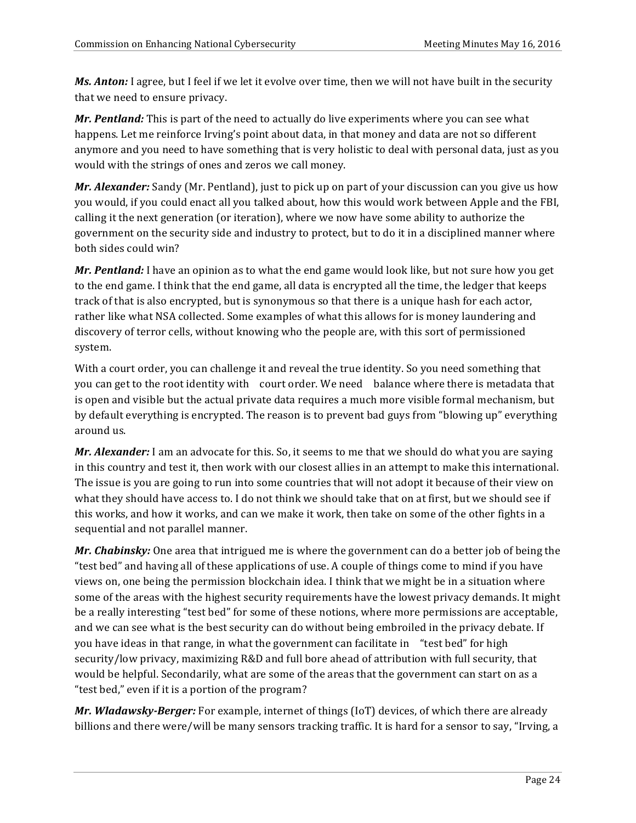**Ms. Anton:** I agree, but I feel if we let it evolve over time, then we will not have built in the security that we need to ensure privacy.

*Mr. Pentland:* This is part of the need to actually do live experiments where you can see what happens. Let me reinforce Irving's point about data, in that money and data are not so different anymore and you need to have something that is very holistic to deal with personal data, just as you would with the strings of ones and zeros we call money.

*Mr. Alexander:* Sandy (Mr. Pentland), just to pick up on part of your discussion can you give us how you would, if you could enact all you talked about, how this would work between Apple and the FBI, calling it the next generation (or iteration), where we now have some ability to authorize the government on the security side and industry to protect, but to do it in a disciplined manner where both sides could win?

*Mr. Pentland:* I have an opinion as to what the end game would look like, but not sure how you get to the end game. I think that the end game, all data is encrypted all the time, the ledger that keeps track of that is also encrypted, but is synonymous so that there is a unique hash for each actor, rather like what NSA collected. Some examples of what this allows for is money laundering and discovery of terror cells, without knowing who the people are, with this sort of permissioned system.

With a court order, you can challenge it and reveal the true identity. So you need something that you can get to the root identity with court order. We need balance where there is metadata that is open and visible but the actual private data requires a much more visible formal mechanism, but by default everything is encrypted. The reason is to prevent bad guys from "blowing up" everything around us.

*Mr. Alexander:* I am an advocate for this. So, it seems to me that we should do what you are saying in this country and test it, then work with our closest allies in an attempt to make this international. The issue is you are going to run into some countries that will not adopt it because of their view on what they should have access to. I do not think we should take that on at first, but we should see if this works, and how it works, and can we make it work, then take on some of the other fights in a sequential and not parallel manner.

*Mr. Chabinsky:* One area that intrigued me is where the government can do a better job of being the "test bed" and having all of these applications of use. A couple of things come to mind if you have views on, one being the permission blockchain idea. I think that we might be in a situation where some of the areas with the highest security requirements have the lowest privacy demands. It might be a really interesting "test bed" for some of these notions, where more permissions are acceptable, and we can see what is the best security can do without being embroiled in the privacy debate. If you have ideas in that range, in what the government can facilitate in "test bed" for high security/low privacy, maximizing R&D and full bore ahead of attribution with full security, that would be helpful. Secondarily, what are some of the areas that the government can start on as a "test bed," even if it is a portion of the program?

*Mr. Wladawsky-Berger:* For example, internet of things (IoT) devices, of which there are already billions and there were/will be many sensors tracking traffic. It is hard for a sensor to say, "Irving, a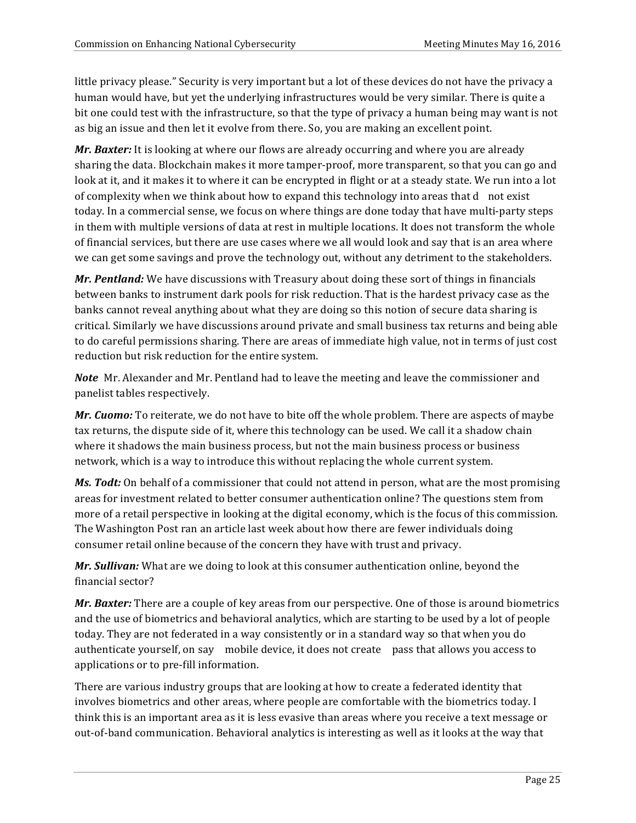little privacy please." Security is very important but a lot of these devices do not have the privacy a human would have, but yet the underlying infrastructures would be very similar. There is quite a bit one could test with the infrastructure, so that the type of privacy a human being may want is not as big an issue and then let it evolve from there. So, you are making an excellent point.

*Mr. Baxter:* It is looking at where our flows are already occurring and where you are already sharing the data. Blockchain makes it more tamper-proof, more transparent, so that you can go and look at it, and it makes it to where it can be encrypted in flight or at a steady state. We run into a lot of complexity when we think about how to expand this technology into areas that d not exist today. In a commercial sense, we focus on where things are done today that have multi-party steps in them with multiple versions of data at rest in multiple locations. It does not transform the whole of financial services, but there are use cases where we all would look and say that is an area where we can get some savings and prove the technology out, without any detriment to the stakeholders.

*Mr. Pentland:* We have discussions with Treasury about doing these sort of things in financials between banks to instrument dark pools for risk reduction. That is the hardest privacy case as the banks cannot reveal anything about what they are doing so this notion of secure data sharing is critical. Similarly we have discussions around private and small business tax returns and being able to do careful permissions sharing. There are areas of immediate high value, not in terms of just cost reduction but risk reduction for the entire system.

*Note* Mr. Alexander and Mr. Pentland had to leave the meeting and leave the commissioner and panelist tables respectively.

*Mr. Cuomo:* To reiterate, we do not have to bite off the whole problem. There are aspects of maybe tax returns, the dispute side of it, where this technology can be used. We call it a shadow chain where it shadows the main business process, but not the main business process or business network, which is a way to introduce this without replacing the whole current system.

*Ms. Todt:* On behalf of a commissioner that could not attend in person, what are the most promising areas for investment related to better consumer authentication online? The questions stem from more of a retail perspective in looking at the digital economy, which is the focus of this commission. The Washington Post ran an article last week about how there are fewer individuals doing consumer retail online because of the concern they have with trust and privacy.

*Mr. Sullivan:* What are we doing to look at this consumer authentication online, beyond the financial sector?

*Mr. Baxter:* There are a couple of key areas from our perspective. One of those is around biometrics and the use of biometrics and behavioral analytics, which are starting to be used by a lot of people today. They are not federated in a way consistently or in a standard way so that when you do authenticate yourself, on say mobile device, it does not create pass that allows you access to applications or to pre-fill information.

There are various industry groups that are looking at how to create a federated identity that involves biometrics and other areas, where people are comfortable with the biometrics today. I think this is an important area as it is less evasive than areas where you receive a text message or out-of-band communication. Behavioral analytics is interesting as well as it looks at the way that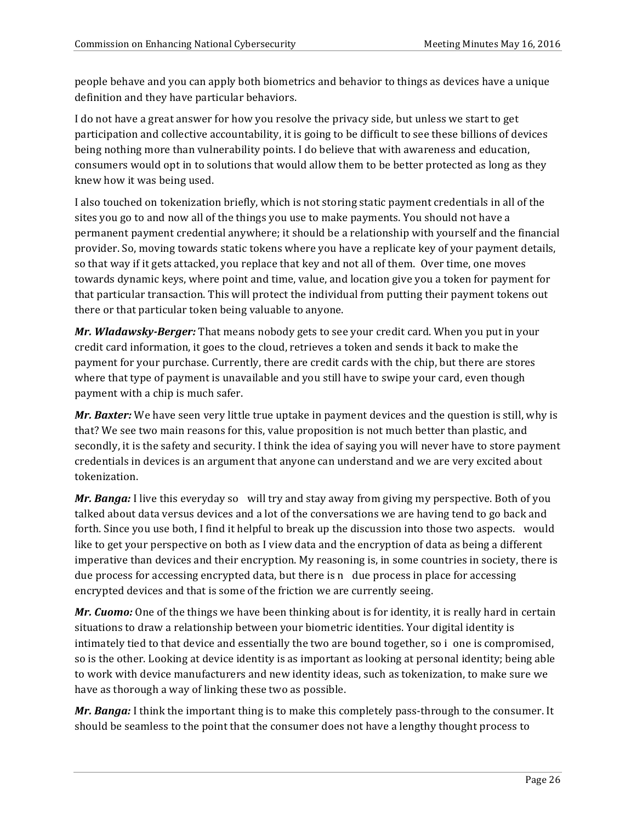people behave and you can apply both biometrics and behavior to things as devices have a unique definition and they have particular behaviors.

I do not have a great answer for how you resolve the privacy side, but unless we start to get participation and collective accountability, it is going to be difficult to see these billions of devices being nothing more than vulnerability points. I do believe that with awareness and education, consumers would opt in to solutions that would allow them to be better protected as long as they knew how it was being used.

I also touched on tokenization briefly, which is not storing static payment credentials in all of the sites you go to and now all of the things you use to make payments. You should not have a permanent payment credential anywhere; it should be a relationship with yourself and the financial provider. So, moving towards static tokens where you have a replicate key of your payment details, so that way if it gets attacked, you replace that key and not all of them. Over time, one moves towards dynamic keys, where point and time, value, and location give you a token for payment for that particular transaction. This will protect the individual from putting their payment tokens out there or that particular token being valuable to anyone.

*Mr. Wladawsky-Berger:* That means nobody gets to see your credit card. When you put in your credit card information, it goes to the cloud, retrieves a token and sends it back to make the payment for your purchase. Currently, there are credit cards with the chip, but there are stores where that type of payment is unavailable and you still have to swipe your card, even though payment with a chip is much safer.

*Mr. Baxter:* We have seen very little true uptake in payment devices and the question is still, why is that? We see two main reasons for this, value proposition is not much better than plastic, and secondly, it is the safety and security. I think the idea of saying you will never have to store payment credentials in devices is an argument that anyone can understand and we are very excited about tokenization.

*Mr. Banga:* I live this everyday so will try and stay away from giving my perspective. Both of you talked about data versus devices and a lot of the conversations we are having tend to go back and forth. Since you use both, I find it helpful to break up the discussion into those two aspects. would like to get your perspective on both as I view data and the encryption of data as being a different imperative than devices and their encryption. My reasoning is, in some countries in society, there is due process for accessing encrypted data, but there is n due process in place for accessing encrypted devices and that is some of the friction we are currently seeing.

*Mr. Cuomo:* One of the things we have been thinking about is for identity, it is really hard in certain situations to draw a relationship between your biometric identities. Your digital identity is intimately tied to that device and essentially the two are bound together, so i one is compromised, so is the other. Looking at device identity is as important as looking at personal identity; being able to work with device manufacturers and new identity ideas, such as tokenization, to make sure we have as thorough a way of linking these two as possible.

*Mr. Banga:* I think the important thing is to make this completely pass-through to the consumer. It should be seamless to the point that the consumer does not have a lengthy thought process to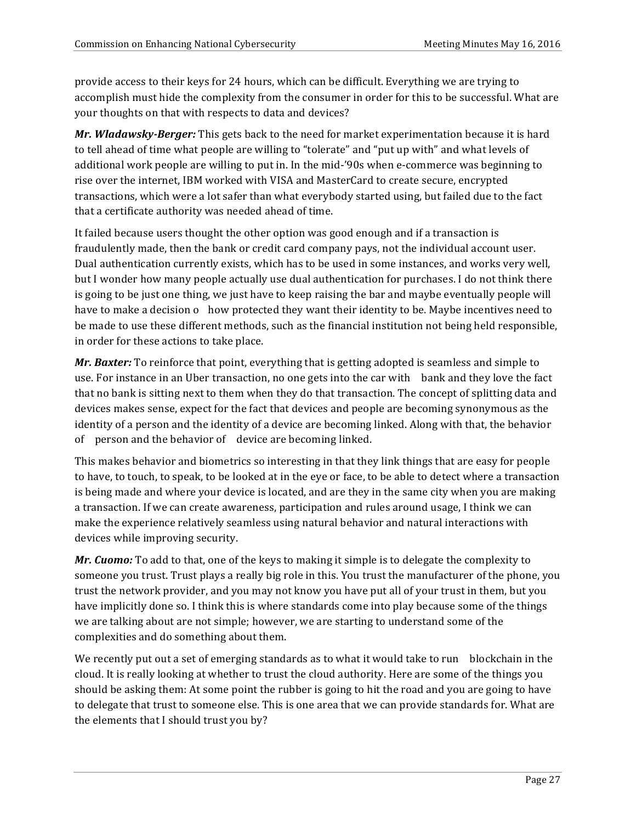provide access to their keys for 24 hours, which can be difficult. Everything we are trying to accomplish must hide the complexity from the consumer in order for this to be successful. What are your thoughts on that with respects to data and devices?

*Mr. Wladawsky-Berger:* This gets back to the need for market experimentation because it is hard to tell ahead of time what people are willing to "tolerate" and "put up with" and what levels of additional work people are willing to put in. In the mid-'90s when e-commerce was beginning to rise over the internet, IBM worked with VISA and MasterCard to create secure, encrypted transactions, which were a lot safer than what everybody started using, but failed due to the fact that a certificate authority was needed ahead of time.

It failed because users thought the other option was good enough and if a transaction is fraudulently made, then the bank or credit card company pays, not the individual account user. Dual authentication currently exists, which has to be used in some instances, and works very well, but I wonder how many people actually use dual authentication for purchases. I do not think there is going to be just one thing, we just have to keep raising the bar and maybe eventually people will have to make a decision o how protected they want their identity to be. Maybe incentives need to be made to use these different methods, such as the financial institution not being held responsible, in order for these actions to take place.

*Mr. Baxter:* To reinforce that point, everything that is getting adopted is seamless and simple to use. For instance in an Uber transaction, no one gets into the car with bank and they love the fact that no bank is sitting next to them when they do that transaction. The concept of splitting data and devices makes sense, expect for the fact that devices and people are becoming synonymous as the identity of a person and the identity of a device are becoming linked. Along with that, the behavior of person and the behavior of device are becoming linked.

This makes behavior and biometrics so interesting in that they link things that are easy for people to have, to touch, to speak, to be looked at in the eye or face, to be able to detect where a transaction is being made and where your device is located, and are they in the same city when you are making a transaction. If we can create awareness, participation and rules around usage, I think we can make the experience relatively seamless using natural behavior and natural interactions with devices while improving security.

*Mr. Cuomo:* To add to that, one of the keys to making it simple is to delegate the complexity to someone you trust. Trust plays a really big role in this. You trust the manufacturer of the phone, you trust the network provider, and you may not know you have put all of your trust in them, but you have implicitly done so. I think this is where standards come into play because some of the things we are talking about are not simple; however, we are starting to understand some of the complexities and do something about them.

We recently put out a set of emerging standards as to what it would take to run blockchain in the cloud. It is really looking at whether to trust the cloud authority. Here are some of the things you should be asking them: At some point the rubber is going to hit the road and you are going to have to delegate that trust to someone else. This is one area that we can provide standards for. What are the elements that I should trust you by?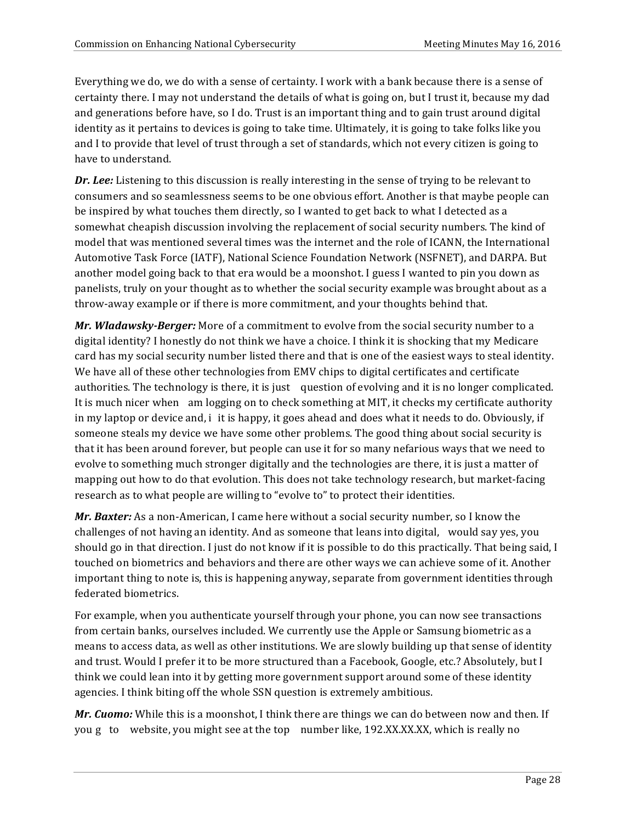Everything we do, we do with a sense of certainty. I work with a bank because there is a sense of certainty there. I may not understand the details of what is going on, but I trust it, because my dad and generations before have, so I do. Trust is an important thing and to gain trust around digital identity as it pertains to devices is going to take time. Ultimately, it is going to take folks like you and I to provide that level of trust through a set of standards, which not every citizen is going to have to understand.

*Dr. Lee:* Listening to this discussion is really interesting in the sense of trying to be relevant to consumers and so seamlessness seems to be one obvious effort. Another is that maybe people can be inspired by what touches them directly, so I wanted to get back to what I detected as a somewhat cheapish discussion involving the replacement of social security numbers. The kind of model that was mentioned several times was the internet and the role of ICANN, the International Automotive Task Force (IATF), National Science Foundation Network (NSFNET), and DARPA. But another model going back to that era would be a moonshot. I guess I wanted to pin you down as panelists, truly on your thought as to whether the social security example was brought about as a throw-away example or if there is more commitment, and your thoughts behind that.

*Mr. Wladawsky-Berger:* More of a commitment to evolve from the social security number to a digital identity? I honestly do not think we have a choice. I think it is shocking that my Medicare card has my social security number listed there and that is one of the easiest ways to steal identity. We have all of these other technologies from EMV chips to digital certificates and certificate authorities. The technology is there, it is just question of evolving and it is no longer complicated. It is much nicer when am logging on to check something at MIT, it checks my certificate authority in my laptop or device and, i it is happy, it goes ahead and does what it needs to do. Obviously, if someone steals my device we have some other problems. The good thing about social security is that it has been around forever, but people can use it for so many nefarious ways that we need to evolve to something much stronger digitally and the technologies are there, it is just a matter of mapping out how to do that evolution. This does not take technology research, but market-facing research as to what people are willing to "evolve to" to protect their identities.

*Mr. Baxter:* As a non-American, I came here without a social security number, so I know the challenges of not having an identity. And as someone that leans into digital, would say yes, you should go in that direction. I just do not know if it is possible to do this practically. That being said, I touched on biometrics and behaviors and there are other ways we can achieve some of it. Another important thing to note is, this is happening anyway, separate from government identities through federated biometrics.

For example, when you authenticate yourself through your phone, you can now see transactions from certain banks, ourselves included. We currently use the Apple or Samsung biometric as a means to access data, as well as other institutions. We are slowly building up that sense of identity and trust. Would I prefer it to be more structured than a Facebook, Google, etc.? Absolutely, but I think we could lean into it by getting more government support around some of these identity agencies. I think biting off the whole SSN question is extremely ambitious.

*Mr. Cuomo:* While this is a moonshot, I think there are things we can do between now and then. If you g to website, you might see at the top number like, 192.XX.XX.XX, which is really no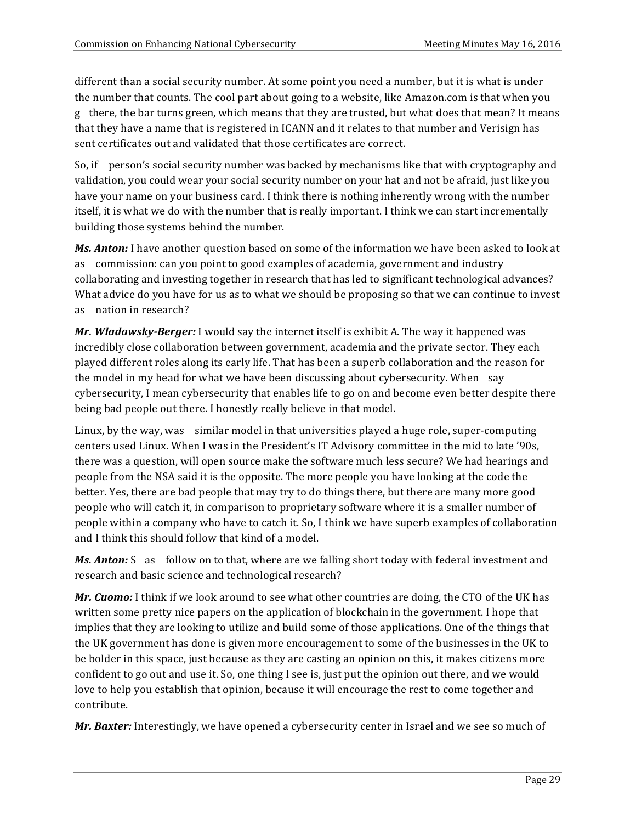different than a social security number. At some point you need a number, but it is what is under the number that counts. The cool part about going to a website, like Amazon.com is that when you g there, the bar turns green, which means that they are trusted, but what does that mean? It means that they have a name that is registered in ICANN and it relates to that number and Verisign has sent certificates out and validated that those certificates are correct.

So, if person's social security number was backed by mechanisms like that with cryptography and validation, you could wear your social security number on your hat and not be afraid, just like you have your name on your business card. I think there is nothing inherently wrong with the number itself, it is what we do with the number that is really important. I think we can start incrementally building those systems behind the number.

**Ms. Anton:** I have another question based on some of the information we have been asked to look at as commission: can you point to good examples of academia, government and industry collaborating and investing together in research that has led to significant technological advances? What advice do you have for us as to what we should be proposing so that we can continue to invest as nation in research?

*Mr. Wladawsky-Berger:* I would say the internet itself is exhibit A. The way it happened was incredibly close collaboration between government, academia and the private sector. They each played different roles along its early life. That has been a superb collaboration and the reason for the model in my head for what we have been discussing about cybersecurity. When say cybersecurity, I mean cybersecurity that enables life to go on and become even better despite there being bad people out there. I honestly really believe in that model.

Linux, by the way, was similar model in that universities played a huge role, super-computing centers used Linux. When I was in the President's IT Advisory committee in the mid to late '90s, there was a question, will open source make the software much less secure? We had hearings and people from the NSA said it is the opposite. The more people you have looking at the code the better. Yes, there are bad people that may try to do things there, but there are many more good people who will catch it, in comparison to proprietary software where it is a smaller number of people within a company who have to catch it. So, I think we have superb examples of collaboration and I think this should follow that kind of a model.

**Ms. Anton:** S as follow on to that, where are we falling short today with federal investment and research and basic science and technological research?

*Mr. Cuomo:* I think if we look around to see what other countries are doing, the CTO of the UK has written some pretty nice papers on the application of blockchain in the government. I hope that implies that they are looking to utilize and build some of those applications. One of the things that the UK government has done is given more encouragement to some of the businesses in the UK to be bolder in this space, just because as they are casting an opinion on this, it makes citizens more confident to go out and use it. So, one thing I see is, just put the opinion out there, and we would love to help you establish that opinion, because it will encourage the rest to come together and contribute.

*Mr. Baxter:* Interestingly, we have opened a cybersecurity center in Israel and we see so much of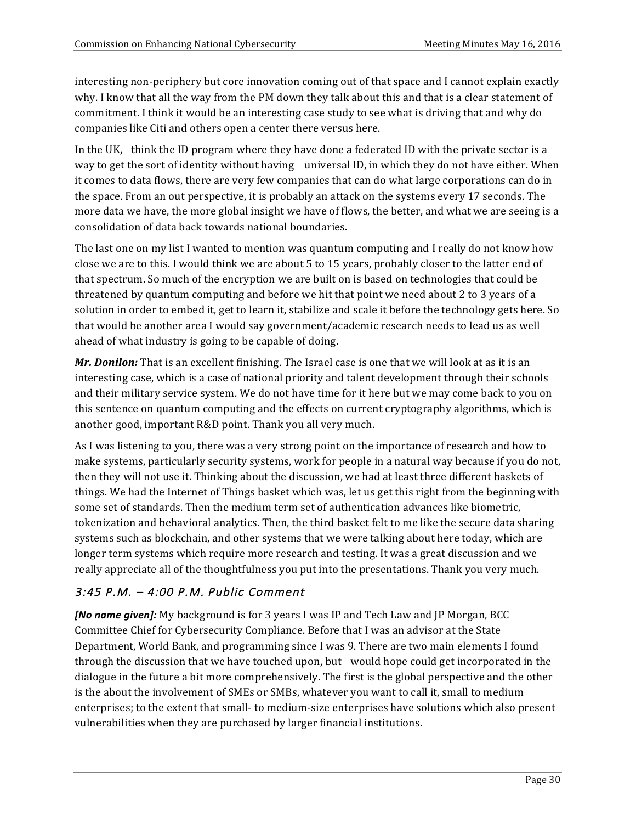interesting non-periphery but core innovation coming out of that space and I cannot explain exactly why. I know that all the way from the PM down they talk about this and that is a clear statement of commitment. I think it would be an interesting case study to see what is driving that and why do companies like Citi and others open a center there versus here.

In the UK, think the ID program where they have done a federated ID with the private sector is a way to get the sort of identity without having universal ID, in which they do not have either. When it comes to data flows, there are very few companies that can do what large corporations can do in the space. From an out perspective, it is probably an attack on the systems every 17 seconds. The more data we have, the more global insight we have of flows, the better, and what we are seeing is a consolidation of data back towards national boundaries.

The last one on my list I wanted to mention was quantum computing and I really do not know how close we are to this. I would think we are about 5 to 15 years, probably closer to the latter end of that spectrum. So much of the encryption we are built on is based on technologies that could be threatened by quantum computing and before we hit that point we need about 2 to 3 years of a solution in order to embed it, get to learn it, stabilize and scale it before the technology gets here. So that would be another area I would say government/academic research needs to lead us as well ahead of what industry is going to be capable of doing.

*Mr. Donilon:* That is an excellent finishing. The Israel case is one that we will look at as it is an interesting case, which is a case of national priority and talent development through their schools and their military service system. We do not have time for it here but we may come back to you on this sentence on quantum computing and the effects on current cryptography algorithms, which is another good, important R&D point. Thank you all very much.

As I was listening to you, there was a very strong point on the importance of research and how to make systems, particularly security systems, work for people in a natural way because if you do not, then they will not use it. Thinking about the discussion, we had at least three different baskets of things. We had the Internet of Things basket which was, let us get this right from the beginning with some set of standards. Then the medium term set of authentication advances like biometric, tokenization and behavioral analytics. Then, the third basket felt to me like the secure data sharing systems such as blockchain, and other systems that we were talking about here today, which are longer term systems which require more research and testing. It was a great discussion and we really appreciate all of the thoughtfulness you put into the presentations. Thank you very much.

# 3:45 P.M. – 4:00 P.M. Public Comment

*[No name given]:* My background is for 3 years I was IP and Tech Law and JP Morgan, BCC Committee Chief for Cybersecurity Compliance. Before that I was an advisor at the State Department, World Bank, and programming since I was 9. There are two main elements I found through the discussion that we have touched upon, but would hope could get incorporated in the dialogue in the future a bit more comprehensively. The first is the global perspective and the other is the about the involvement of SMEs or SMBs, whatever you want to call it, small to medium enterprises; to the extent that small- to medium-size enterprises have solutions which also present vulnerabilities when they are purchased by larger financial institutions.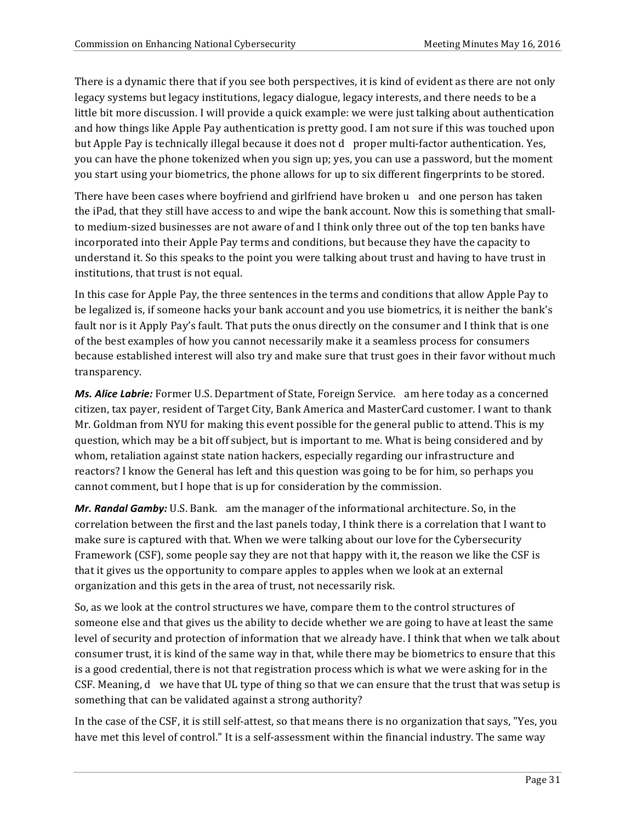There is a dynamic there that if you see both perspectives, it is kind of evident as there are not only legacy systems but legacy institutions, legacy dialogue, legacy interests, and there needs to be a little bit more discussion. I will provide a quick example: we were just talking about authentication and how things like Apple Pay authentication is pretty good. I am not sure if this was touched upon but Apple Pay is technically illegal because it does not d proper multi-factor authentication. Yes, you can have the phone tokenized when you sign up; yes, you can use a password, but the moment you start using your biometrics, the phone allows for up to six different fingerprints to be stored.

There have been cases where boyfriend and girlfriend have broken u and one person has taken the iPad, that they still have access to and wipe the bank account. Now this is something that smallto medium-sized businesses are not aware of and I think only three out of the top ten banks have incorporated into their Apple Pay terms and conditions, but because they have the capacity to understand it. So this speaks to the point you were talking about trust and having to have trust in institutions, that trust is not equal.

In this case for Apple Pay, the three sentences in the terms and conditions that allow Apple Pay to be legalized is, if someone hacks your bank account and you use biometrics, it is neither the bank's fault nor is it Apply Pay's fault. That puts the onus directly on the consumer and I think that is one of the best examples of how you cannot necessarily make it a seamless process for consumers because established interest will also try and make sure that trust goes in their favor without much transparency.

**Ms. Alice Labrie:** Former U.S. Department of State, Foreign Service. am here today as a concerned citizen, tax payer, resident of Target City, Bank America and MasterCard customer. I want to thank Mr. Goldman from NYU for making this event possible for the general public to attend. This is my question, which may be a bit off subject, but is important to me. What is being considered and by whom, retaliation against state nation hackers, especially regarding our infrastructure and reactors? I know the General has left and this question was going to be for him, so perhaps you cannot comment, but I hope that is up for consideration by the commission.

*Mr. Randal Gamby:* U.S. Bank. am the manager of the informational architecture. So, in the correlation between the first and the last panels today, I think there is a correlation that I want to make sure is captured with that. When we were talking about our love for the Cybersecurity Framework (CSF), some people say they are not that happy with it, the reason we like the CSF is that it gives us the opportunity to compare apples to apples when we look at an external organization and this gets in the area of trust, not necessarily risk.

So, as we look at the control structures we have, compare them to the control structures of someone else and that gives us the ability to decide whether we are going to have at least the same level of security and protection of information that we already have. I think that when we talk about consumer trust, it is kind of the same way in that, while there may be biometrics to ensure that this is a good credential, there is not that registration process which is what we were asking for in the CSF. Meaning, d we have that UL type of thing so that we can ensure that the trust that was setup is something that can be validated against a strong authority?

In the case of the CSF, it is still self-attest, so that means there is no organization that says, "Yes, you have met this level of control." It is a self-assessment within the financial industry. The same way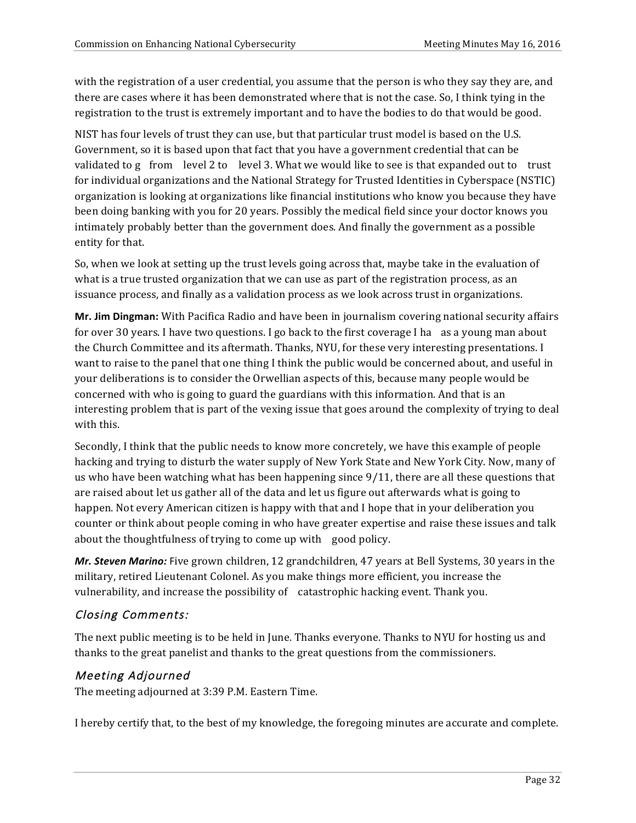with the registration of a user credential, you assume that the person is who they say they are, and there are cases where it has been demonstrated where that is not the case. So, I think tying in the registration to the trust is extremely important and to have the bodies to do that would be good.

NIST has four levels of trust they can use, but that particular trust model is based on the U.S. Government, so it is based upon that fact that you have a government credential that can be validated to g from level 2 to level 3. What we would like to see is that expanded out to trust for individual organizations and the National Strategy for Trusted Identities in Cyberspace (NSTIC) organization is looking at organizations like financial institutions who know you because they have been doing banking with you for 20 years. Possibly the medical field since your doctor knows you intimately probably better than the government does. And finally the government as a possible entity for that.

So, when we look at setting up the trust levels going across that, maybe take in the evaluation of what is a true trusted organization that we can use as part of the registration process, as an issuance process, and finally as a validation process as we look across trust in organizations.

**Mr. Jim Dingman:** With Pacifica Radio and have been in journalism covering national security affairs for over 30 years. I have two questions. I go back to the first coverage I ha as a young man about the Church Committee and its aftermath. Thanks, NYU, for these very interesting presentations. I want to raise to the panel that one thing I think the public would be concerned about, and useful in your deliberations is to consider the Orwellian aspects of this, because many people would be concerned with who is going to guard the guardians with this information. And that is an interesting problem that is part of the vexing issue that goes around the complexity of trying to deal with this.

Secondly, I think that the public needs to know more concretely, we have this example of people hacking and trying to disturb the water supply of New York State and New York City. Now, many of us who have been watching what has been happening since  $9/11$ , there are all these questions that are raised about let us gather all of the data and let us figure out afterwards what is going to happen. Not every American citizen is happy with that and I hope that in your deliberation you counter or think about people coming in who have greater expertise and raise these issues and talk about the thoughtfulness of trying to come up with good policy.

*Mr. Steven Marino:* Five grown children, 12 grandchildren, 47 years at Bell Systems, 30 years in the military, retired Lieutenant Colonel. As you make things more efficient, you increase the vulnerability, and increase the possibility of catastrophic hacking event. Thank you.

## Closing Comments:

The next public meeting is to be held in June. Thanks everyone. Thanks to NYU for hosting us and thanks to the great panelist and thanks to the great questions from the commissioners.

## Meeting Adjourned

The meeting adjourned at 3:39 P.M. Eastern Time.

I hereby certify that, to the best of my knowledge, the foregoing minutes are accurate and complete.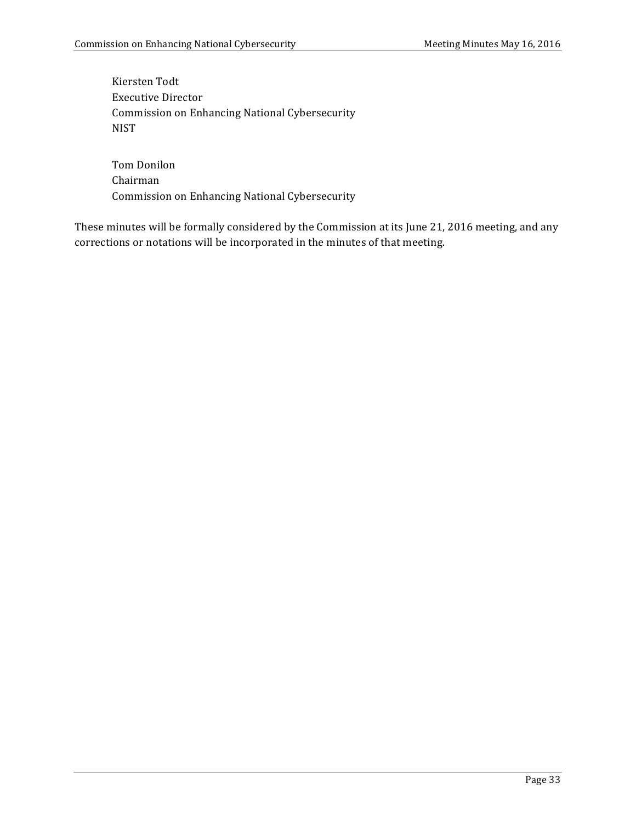Kiersten Todt Executive Director Commission on Enhancing National Cybersecurity NIST

Tom Donilon Chairman Commission on Enhancing National Cybersecurity

These minutes will be formally considered by the Commission at its June 21, 2016 meeting, and any corrections or notations will be incorporated in the minutes of that meeting.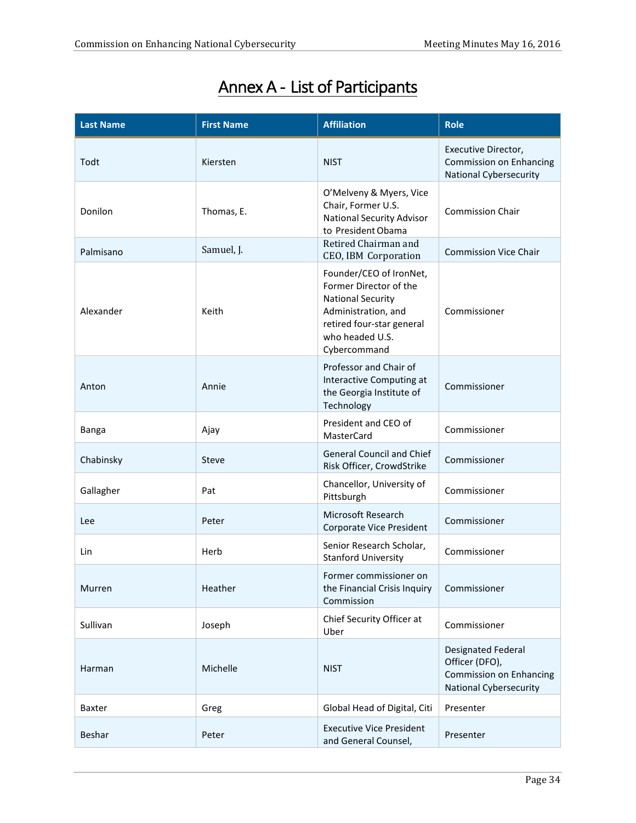| <b>Last Name</b> | <b>First Name</b> | <b>Affiliation</b>                                                                                                                                                   | <b>Role</b>                                                                                                    |
|------------------|-------------------|----------------------------------------------------------------------------------------------------------------------------------------------------------------------|----------------------------------------------------------------------------------------------------------------|
| Todt             | Kiersten          | <b>NIST</b>                                                                                                                                                          | Executive Director,<br>Commission on Enhancing<br><b>National Cybersecurity</b>                                |
| Donilon          | Thomas, E.        | O'Melveny & Myers, Vice<br>Chair, Former U.S.<br><b>National Security Advisor</b><br>to President Obama                                                              | <b>Commission Chair</b>                                                                                        |
| Palmisano        | Samuel, J.        | Retired Chairman and<br>CEO, IBM Corporation                                                                                                                         | <b>Commission Vice Chair</b>                                                                                   |
| Alexander        | Keith             | Founder/CEO of IronNet,<br>Former Director of the<br><b>National Security</b><br>Administration, and<br>retired four-star general<br>who headed U.S.<br>Cybercommand | Commissioner                                                                                                   |
| Anton            | Annie             | Professor and Chair of<br>Interactive Computing at<br>the Georgia Institute of<br>Technology                                                                         | Commissioner                                                                                                   |
| <b>Banga</b>     | Ajay              | President and CEO of<br>MasterCard                                                                                                                                   | Commissioner                                                                                                   |
| Chabinsky        | Steve             | <b>General Council and Chief</b><br>Risk Officer, CrowdStrike                                                                                                        | Commissioner                                                                                                   |
| Gallagher        | Pat               | Chancellor, University of<br>Pittsburgh                                                                                                                              | Commissioner                                                                                                   |
| Lee              | Peter             | Microsoft Research<br>Corporate Vice President                                                                                                                       | Commissioner                                                                                                   |
| Lin              | Herb              | Senior Research Scholar,<br><b>Stanford University</b>                                                                                                               | Commissioner                                                                                                   |
| Murren           | Heather           | Former commissioner on<br>the Financial Crisis Inquiry<br>Commission                                                                                                 | Commissioner                                                                                                   |
| Sullivan         | Joseph            | Chief Security Officer at<br>Uber                                                                                                                                    | Commissioner                                                                                                   |
| Harman           | Michelle          | <b>NIST</b>                                                                                                                                                          | <b>Designated Federal</b><br>Officer (DFO),<br><b>Commission on Enhancing</b><br><b>National Cybersecurity</b> |
| Baxter           | Greg              | Global Head of Digital, Citi                                                                                                                                         | Presenter                                                                                                      |
| Beshar           | Peter             | <b>Executive Vice President</b><br>and General Counsel,                                                                                                              | Presenter                                                                                                      |

# Annex A - List of Participants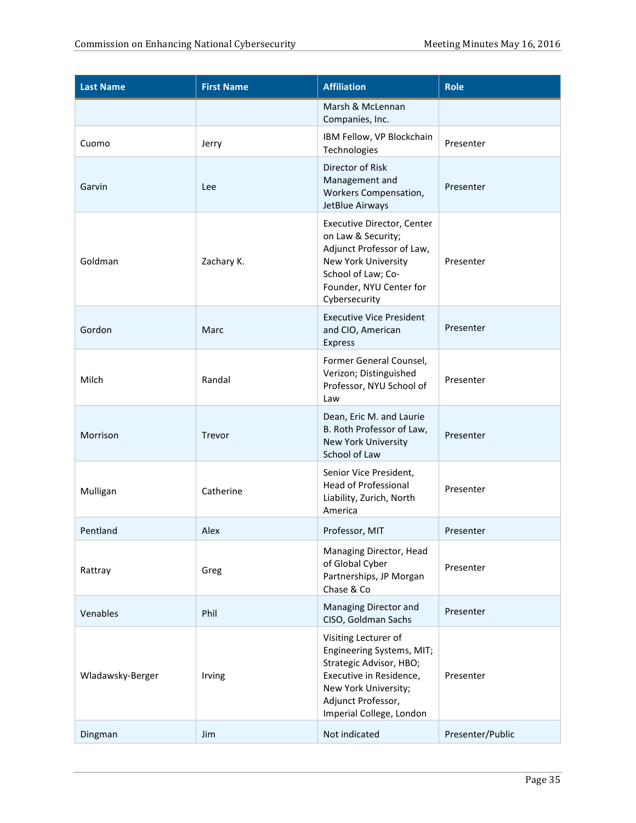| <b>Last Name</b> | <b>First Name</b> | <b>Affiliation</b>                                                                                                                                                                | <b>Role</b>      |
|------------------|-------------------|-----------------------------------------------------------------------------------------------------------------------------------------------------------------------------------|------------------|
|                  |                   | Marsh & McLennan<br>Companies, Inc.                                                                                                                                               |                  |
| Cuomo            | Jerry             | IBM Fellow, VP Blockchain<br>Technologies                                                                                                                                         | Presenter        |
| Garvin           | Lee               | Director of Risk<br>Management and<br>Workers Compensation,<br>JetBlue Airways                                                                                                    | Presenter        |
| Goldman          | Zachary K.        | <b>Executive Director, Center</b><br>on Law & Security;<br>Adjunct Professor of Law,<br>New York University<br>School of Law; Co-<br>Founder, NYU Center for<br>Cybersecurity     | Presenter        |
| Gordon           | Marc              | <b>Executive Vice President</b><br>and CIO, American<br><b>Express</b>                                                                                                            | Presenter        |
| Milch            | Randal            | Former General Counsel,<br>Verizon; Distinguished<br>Professor, NYU School of<br>Law                                                                                              | Presenter        |
| Morrison         | Trevor            | Dean, Eric M. and Laurie<br>B. Roth Professor of Law,<br><b>New York University</b><br>School of Law                                                                              | Presenter        |
| Mulligan         | Catherine         | Senior Vice President,<br><b>Head of Professional</b><br>Liability, Zurich, North<br>America                                                                                      | Presenter        |
| Pentland         | Alex              | Professor, MIT                                                                                                                                                                    | Presenter        |
| Rattray          | Greg              | Managing Director, Head<br>of Global Cyber<br>Partnerships, JP Morgan<br>Chase & Co                                                                                               | Presenter        |
| Venables         | Phil              | Managing Director and<br>CISO, Goldman Sachs                                                                                                                                      | Presenter        |
| Wladawsky-Berger | Irving            | Visiting Lecturer of<br>Engineering Systems, MIT;<br>Strategic Advisor, HBO;<br>Executive in Residence,<br>New York University;<br>Adjunct Professor,<br>Imperial College, London | Presenter        |
| Dingman          | Jim               | Not indicated                                                                                                                                                                     | Presenter/Public |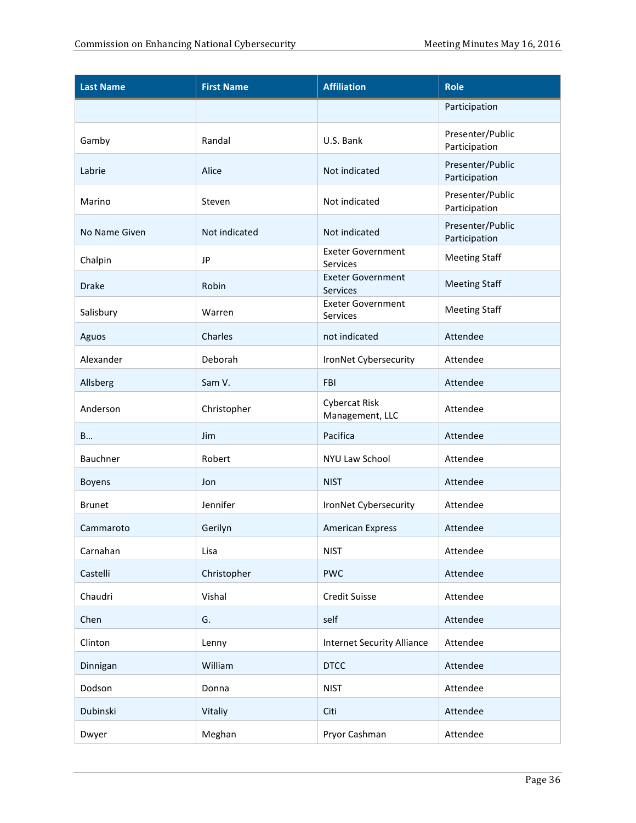| <b>Last Name</b> | <b>First Name</b> | <b>Affiliation</b>                          | <b>Role</b>                       |
|------------------|-------------------|---------------------------------------------|-----------------------------------|
|                  |                   |                                             | Participation                     |
| Gamby            | Randal            | U.S. Bank                                   | Presenter/Public<br>Participation |
| Labrie           | Alice             | Not indicated                               | Presenter/Public<br>Participation |
| Marino           | Steven            | Not indicated                               | Presenter/Public<br>Participation |
| No Name Given    | Not indicated     | Not indicated                               | Presenter/Public<br>Participation |
| Chalpin          | <b>JP</b>         | <b>Exeter Government</b><br><b>Services</b> | <b>Meeting Staff</b>              |
| <b>Drake</b>     | Robin             | <b>Exeter Government</b><br>Services        | <b>Meeting Staff</b>              |
| Salisbury        | Warren            | <b>Exeter Government</b><br><b>Services</b> | <b>Meeting Staff</b>              |
| Aguos            | Charles           | not indicated                               | Attendee                          |
| Alexander        | Deborah           | IronNet Cybersecurity                       | Attendee                          |
| Allsberg         | Sam V.            | FBI                                         | Attendee                          |
| Anderson         | Christopher       | <b>Cybercat Risk</b><br>Management, LLC     | Attendee                          |
| B                | Jim               | Pacifica                                    | Attendee                          |
| Bauchner         | Robert            | NYU Law School                              | Attendee                          |
| <b>Boyens</b>    | Jon               | <b>NIST</b>                                 | Attendee                          |
| <b>Brunet</b>    | Jennifer          | IronNet Cybersecurity                       | Attendee                          |
| Cammaroto        | Gerilyn           | <b>American Express</b>                     | Attendee                          |
| Carnahan         | Lisa              | <b>NIST</b>                                 | Attendee                          |
| Castelli         | Christopher       | <b>PWC</b>                                  | Attendee                          |
| Chaudri          | Vishal            | <b>Credit Suisse</b>                        | Attendee                          |
| Chen             | G.                | self                                        | Attendee                          |
| Clinton          | Lenny             | <b>Internet Security Alliance</b>           | Attendee                          |
| Dinnigan         | William           | <b>DTCC</b>                                 | Attendee                          |
| Dodson           | Donna             | <b>NIST</b>                                 | Attendee                          |
| Dubinski         | Vitaliy           | Citi                                        | Attendee                          |
| Dwyer            | Meghan            | Pryor Cashman                               | Attendee                          |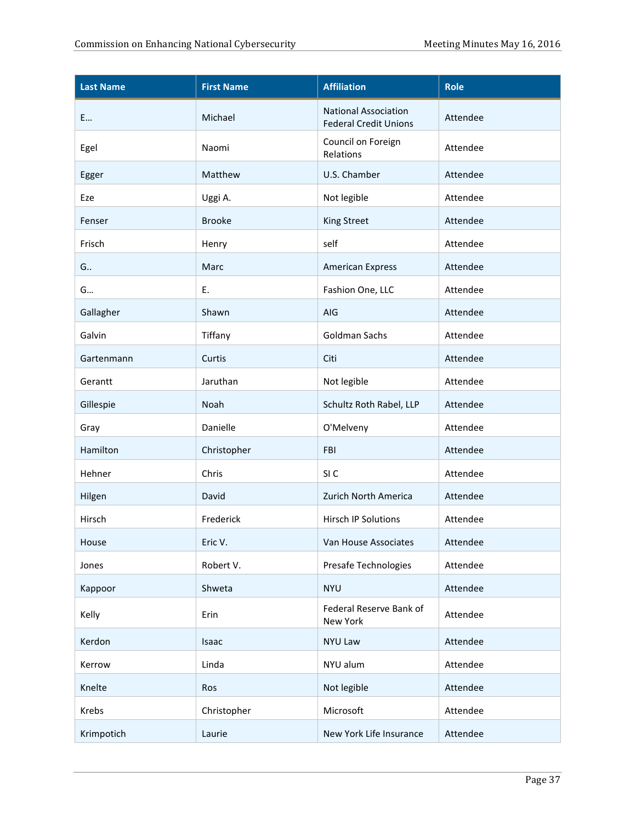| <b>Last Name</b> | <b>First Name</b> | <b>Affiliation</b>                                          | <b>Role</b> |
|------------------|-------------------|-------------------------------------------------------------|-------------|
| E                | Michael           | <b>National Association</b><br><b>Federal Credit Unions</b> | Attendee    |
| Egel             | Naomi             | Council on Foreign<br>Relations                             | Attendee    |
| Egger            | Matthew           | U.S. Chamber                                                | Attendee    |
| Eze              | Uggi A.           | Not legible                                                 | Attendee    |
| Fenser           | <b>Brooke</b>     | <b>King Street</b>                                          | Attendee    |
| Frisch           | Henry             | self                                                        | Attendee    |
| G                | Marc              | <b>American Express</b>                                     | Attendee    |
| G                | Ε.                | Fashion One, LLC                                            | Attendee    |
| Gallagher        | Shawn             | AIG                                                         | Attendee    |
| Galvin           | Tiffany           | <b>Goldman Sachs</b>                                        | Attendee    |
| Gartenmann       | Curtis            | Citi                                                        | Attendee    |
| Gerantt          | Jaruthan          | Not legible                                                 | Attendee    |
| Gillespie        | Noah              | Schultz Roth Rabel, LLP                                     | Attendee    |
| Gray             | Danielle          | O'Melveny                                                   | Attendee    |
| Hamilton         | Christopher       | <b>FBI</b>                                                  | Attendee    |
| Hehner           | Chris             | SI <sub>C</sub>                                             | Attendee    |
| Hilgen           | David             | Zurich North America                                        | Attendee    |
| Hirsch           | Frederick         | Hirsch IP Solutions                                         | Attendee    |
| House            | Eric V.           | Van House Associates                                        | Attendee    |
| Jones            | Robert V.         | Presafe Technologies                                        | Attendee    |
| Kappoor          | Shweta            | <b>NYU</b>                                                  | Attendee    |
| Kelly            | Erin              | Federal Reserve Bank of<br>New York                         | Attendee    |
| Kerdon           | Isaac             | NYU Law                                                     | Attendee    |
| Kerrow           | Linda             | NYU alum                                                    | Attendee    |
| Knelte           | Ros               | Not legible                                                 | Attendee    |
| Krebs            | Christopher       | Microsoft                                                   | Attendee    |
| Krimpotich       | Laurie            | New York Life Insurance                                     | Attendee    |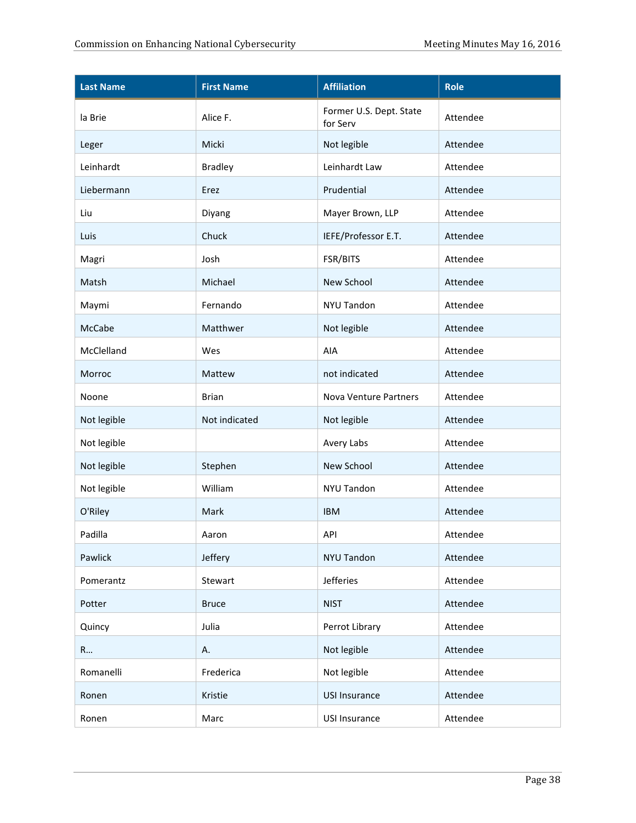| <b>Last Name</b> | <b>First Name</b> | <b>Affiliation</b>                  | <b>Role</b> |
|------------------|-------------------|-------------------------------------|-------------|
| la Brie          | Alice F.          | Former U.S. Dept. State<br>for Serv | Attendee    |
| Leger            | Micki             | Not legible                         | Attendee    |
| Leinhardt        | <b>Bradley</b>    | Leinhardt Law                       | Attendee    |
| Liebermann       | Erez              | Prudential                          | Attendee    |
| Liu              | Diyang            | Mayer Brown, LLP                    | Attendee    |
| Luis             | Chuck             | IEFE/Professor E.T.                 | Attendee    |
| Magri            | Josh              | FSR/BITS                            | Attendee    |
| Matsh            | Michael           | New School                          | Attendee    |
| Maymi            | Fernando          | <b>NYU Tandon</b>                   | Attendee    |
| McCabe           | Matthwer          | Not legible                         | Attendee    |
| McClelland       | Wes               | AIA                                 | Attendee    |
| Morroc           | Mattew            | not indicated                       | Attendee    |
| Noone            | <b>Brian</b>      | Nova Venture Partners               | Attendee    |
| Not legible      | Not indicated     | Not legible                         | Attendee    |
| Not legible      |                   | Avery Labs                          | Attendee    |
| Not legible      | Stephen           | New School                          | Attendee    |
| Not legible      | William           | NYU Tandon                          | Attendee    |
| O'Riley          | Mark              | <b>IBM</b>                          | Attendee    |
| Padilla          | Aaron             | API                                 | Attendee    |
| Pawlick          | Jeffery           | <b>NYU Tandon</b>                   | Attendee    |
| Pomerantz        | Stewart           | Jefferies                           | Attendee    |
| Potter           | <b>Bruce</b>      | <b>NIST</b>                         | Attendee    |
| Quincy           | Julia             | Perrot Library                      | Attendee    |
| R                | А.                | Not legible                         | Attendee    |
| Romanelli        | Frederica         | Not legible                         | Attendee    |
| Ronen            | Kristie           | <b>USI Insurance</b>                | Attendee    |
| Ronen            | Marc              | <b>USI Insurance</b>                | Attendee    |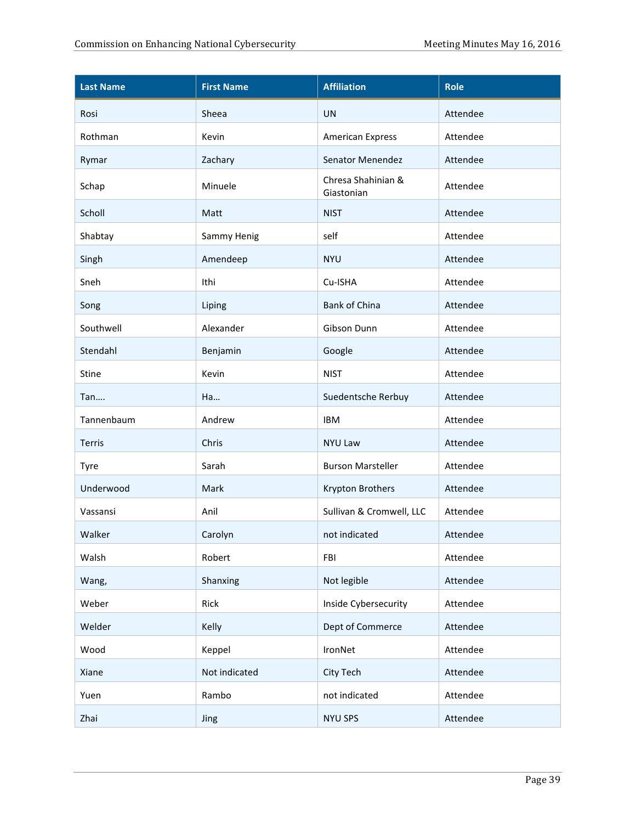| <b>Last Name</b> | <b>First Name</b> | <b>Affiliation</b>               | <b>Role</b> |
|------------------|-------------------|----------------------------------|-------------|
| Rosi             | Sheea             | <b>UN</b>                        | Attendee    |
| Rothman          | Kevin             | <b>American Express</b>          | Attendee    |
| Rymar            | Zachary           | Senator Menendez                 | Attendee    |
| Schap            | Minuele           | Chresa Shahinian &<br>Giastonian | Attendee    |
| Scholl           | Matt              | <b>NIST</b>                      | Attendee    |
| Shabtay          | Sammy Henig       | self                             | Attendee    |
| Singh            | Amendeep          | <b>NYU</b>                       | Attendee    |
| Sneh             | Ithi              | Cu-ISHA                          | Attendee    |
| Song             | Liping            | Bank of China                    | Attendee    |
| Southwell        | Alexander         | Gibson Dunn                      | Attendee    |
| Stendahl         | Benjamin          | Google                           | Attendee    |
| Stine            | Kevin             | <b>NIST</b>                      | Attendee    |
| Tan              | Ha                | Suedentsche Rerbuy               | Attendee    |
| Tannenbaum       | Andrew            | <b>IBM</b>                       | Attendee    |
| Terris           | Chris             | <b>NYU Law</b>                   | Attendee    |
| Tyre             | Sarah             | <b>Burson Marsteller</b>         | Attendee    |
| Underwood        | <b>Mark</b>       | Krypton Brothers                 | Attendee    |
| Vassansi         | Anil              | Sullivan & Cromwell, LLC         | Attendee    |
| Walker           | Carolyn           | not indicated                    | Attendee    |
| Walsh            | Robert            | FBI                              | Attendee    |
| Wang,            | Shanxing          | Not legible                      | Attendee    |
| Weber            | Rick              | Inside Cybersecurity             | Attendee    |
| Welder           | Kelly             | Dept of Commerce                 | Attendee    |
| Wood             | Keppel            | IronNet                          | Attendee    |
| Xiane            | Not indicated     | City Tech                        | Attendee    |
| Yuen             | Rambo             | not indicated                    | Attendee    |
| Zhai             | Jing              | <b>NYU SPS</b>                   | Attendee    |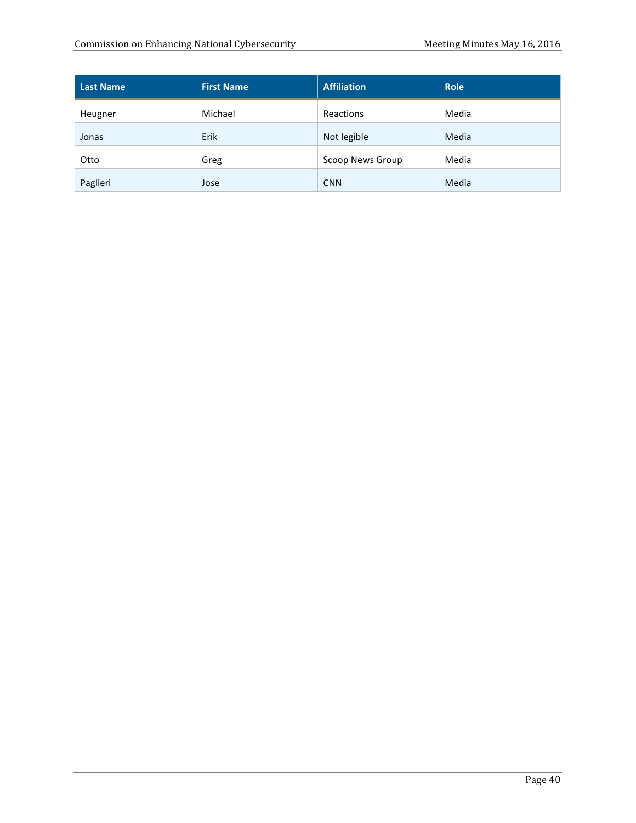| <b>Last Name</b> | <b>First Name</b> | <b>Affiliation</b> | <b>Role</b> |
|------------------|-------------------|--------------------|-------------|
| Heugner          | Michael           | Reactions          | Media       |
| Jonas            | Erik              | Not legible        | Media       |
| Otto             | Greg              | Scoop News Group   | Media       |
| Paglieri         | Jose              | <b>CNN</b>         | Media       |